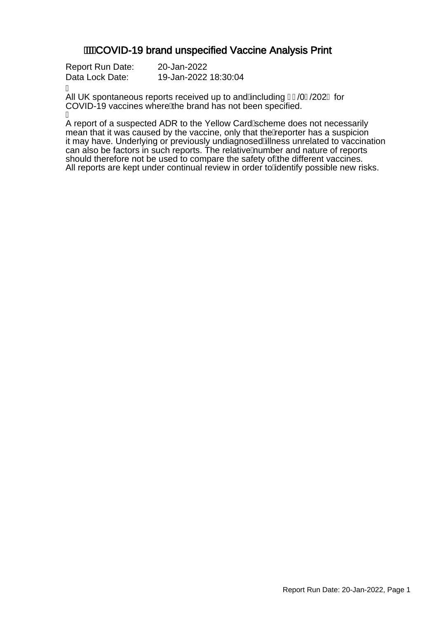### **AWCOVID-19 brand unspecified Vaccine Analysis Print**

| Report Run Date: | 20-Jan-2022          |
|------------------|----------------------|
| Data Lock Date:  | 19-Jan-2022 18:30:04 |

Á

All UK spontaneous reports received up to and Ancluding FJ/0F/202 G for COVID-19 vaccines where A he brand has not been specified. Á

A report of a suspected ADR to the Yellow CardAcheme does not necessarily mean that it was caused by the vaccine, only that the Aeporter has a suspicion it may have. Underlying or previously undiagnosed Alness unrelated to vaccination can also be factors in such reports. The relative humber and nature of reports should therefore not be used to compare the safety of the different vaccines. All reports are kept under continual review in order to Adentify possible new risks.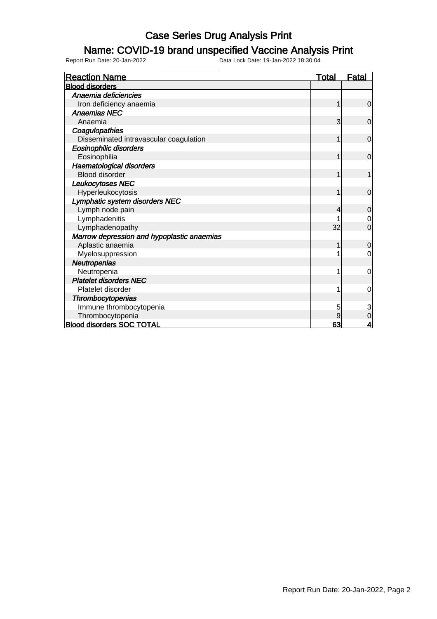### Name: COVID-19 brand unspecified Vaccine Analysis Print

| <b>Reaction Name</b>                       | <b>Total</b> | <b>Fatal</b>   |
|--------------------------------------------|--------------|----------------|
| <b>Blood disorders</b>                     |              |                |
| Anaemia deficiencies                       |              |                |
| Iron deficiency anaemia                    |              | 0              |
| <b>Anaemias NEC</b>                        |              |                |
| Anaemia                                    | 3            | $\mathbf 0$    |
| Coagulopathies                             |              |                |
| Disseminated intravascular coagulation     |              | $\mathbf 0$    |
| <b>Eosinophilic disorders</b>              |              |                |
| Eosinophilia                               | 1            | $\overline{0}$ |
| <b>Haematological disorders</b>            |              |                |
| <b>Blood disorder</b>                      |              |                |
| Leukocytoses NEC                           |              |                |
| Hyperleukocytosis                          | 1            | $\Omega$       |
| Lymphatic system disorders NEC             |              |                |
| Lymph node pain                            | 4            | 0              |
| Lymphadenitis                              |              | 0              |
| Lymphadenopathy                            | 32           | 0              |
| Marrow depression and hypoplastic anaemias |              |                |
| Aplastic anaemia                           |              | 0              |
| Myelosuppression                           |              | $\Omega$       |
| Neutropenias                               |              |                |
| Neutropenia                                |              | 0              |
| <b>Platelet disorders NEC</b>              |              |                |
| Platelet disorder                          |              | 0              |
| Thrombocytopenias                          |              |                |
| Immune thrombocytopenia                    | 5            | 3              |
| Thrombocytopenia                           | 9            | 0              |
| <b>Blood disorders SOC TOTAL</b>           | 63           | 4              |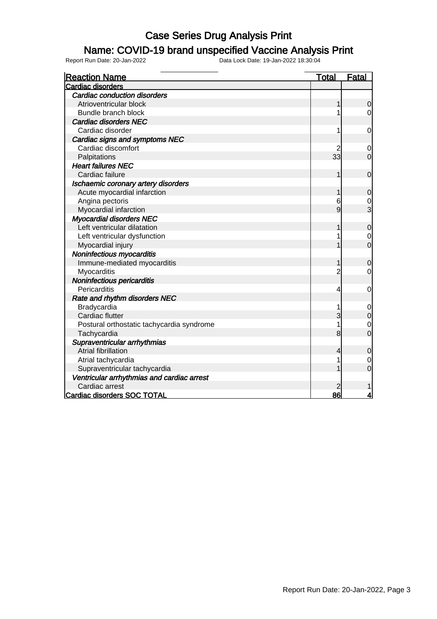#### Name: COVID-19 brand unspecified Vaccine Analysis Print

Report Run Date: 20-Jan-2022 Data Lock Date: 19-Jan-2022 18:30:04

Reaction Name Total Fatal Cardiac disorders Cardiac conduction disorders Atrioventricular block and the control of the control of the control of the control of the control of the control of the control of the control of the control of the control of the control of the control of the control of Bundle branch block and the set of the set of the set of the set of the set of the set of the set of the set o Cardiac disorders NEC Cardiac disorder  $\begin{array}{ccc} 1 & 0 \\ 0 & 1 \end{array}$  Cardiac signs and symptoms NEC Cardiac discomfort 2 0 Palpitations **33** 0 Heart failures NEC Cardiac failure  $\begin{array}{ccc} 1 & 0 & 0 \\ 0 & 1 & 0 \end{array}$  Ischaemic coronary artery disorders Acute myocardial infarction 1 0 Angina pectoris and the contract of the contract of the contract of the contract of the contract of the contract of the contract of the contract of the contract of the contract of the contract of the contract of the contra Myocardial infarction and the set of the set of the set of the set of the set of the set of the set of the set of the set of the set of the set of the set of the set of the set of the set of the set of the set of the set o Myocardial disorders NEC Left ventricular dilatation and the set of the set of the set of the set of the set of the set of the set of the set of the set of the set of the set of the set of the set of the set of the set of the set of the set of the Left ventricular dysfunction<br>
Myocardial iniury<br>
0 Myocardial injury 1 0 Noninfectious myocarditis Immune-mediated myocarditis and the contract of the contract of the contract of the contract of the contract of the contract of the contract of the contract of the contract of the contract of the contract of the contract o **Myocarditis**  Noninfectious pericarditis Pericarditis 4 0 Rate and rhythm disorders NEC Bradycardia 2001 - 2002 - 2003 - 2004 - 2006 - 2007 - 2008 - 2009 - 2008 - 2009 - 2009 - 2009 - 2009 - 2009 - 2009 - 2009 - 2009 - 2009 - 2009 - 2009 - 2009 - 2009 - 2009 - 2009 - 2009 - 2009 - 2009 - 2009 - 2009 - 2009 - Cardiac flutter 3 0 Postural orthostatic tachycardia syndrome<br>
Tachycardia 1 0<br>
0 **Tachycardia**  Supraventricular arrhythmias Atrial fibrillation **4** 0 Atrial tachycardia 1 0<br>
Supraventricular tachycardia 1 0<br>
0 Supraventricular tachycardia 1 0 Ventricular arrhythmias and cardiac arrest Cardiac arrest 2 1 Cardiac disorders SOC TOTAL 86 4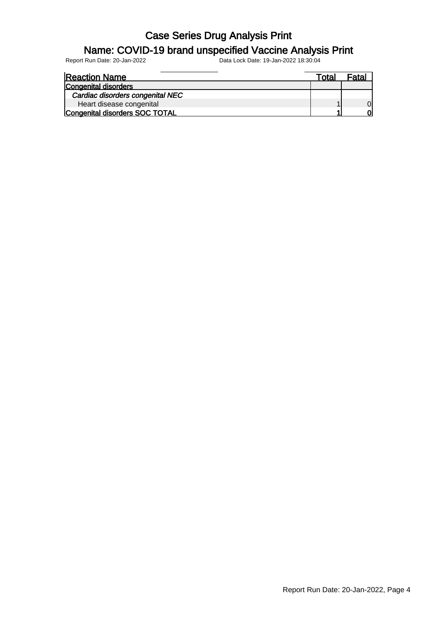#### Name: COVID-19 brand unspecified Vaccine Analysis Print

| <b>Reaction Name</b>             | Total | Fata. |
|----------------------------------|-------|-------|
| Congenital disorders             |       |       |
| Cardiac disorders congenital NEC |       |       |
| Heart disease congenital         |       |       |
| Congenital disorders SOC TOTAL   |       |       |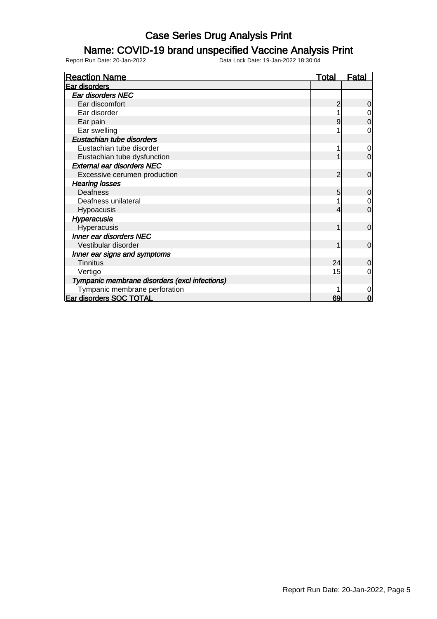### Name: COVID-19 brand unspecified Vaccine Analysis Print

Report Run Date: 20-Jan-2022 Data Lock Date: 19-Jan-2022 18:30:04

Reaction Name Total Fatal Ear disorders Ear disorders NEC Ear discomfort 2 0<br>
Ear disorder 2 0<br>
2 0 Ear disorder  $\begin{array}{ccc} 1 & 0 \\ \text{Ear pair} & 1 \\ \text{Far pair} & 0 \end{array}$ Ear pain 1990 – Die Barte and Die Barte and Die Barte and Die Barte and Die Barte and Die Barte and Die Barte a Ear swelling  $\begin{array}{ccc} 1 & 0 \\ 0 & 1 \end{array}$  Eustachian tube disorders Eustachian tube disorder 1 0 Eustachian tube dysfunction and the contraction of the contraction of the contraction of the contraction of the contraction of the contraction of the contraction of the contraction of the contraction of the contraction of External ear disorders NEC Excessive cerumen production **2** 0 Hearing losses Deafness 5 0 Deafness unilateral and the contract of the contract of the contract of the contract of the contract of the contract of the contract of the contract of the contract of the contract of the contract of the contract of the co Hypoacusis 4 0 Hyperacusia Hyperacusis and the control of the control of the control of the control of the control of the control of the control of the control of the control of the control of the control of the control of the control of the control Inner ear disorders NEC Vestibular disorder 1 0 Inner ear signs and symptoms<br>Tinnitus Tinnitus 24 0 Vertigo 15 0 Tympanic membrane disorders (excl infections) Tympanic membrane perforation<br>
disorders SOC TOTAL 0 Ear disorders SOC TOTAL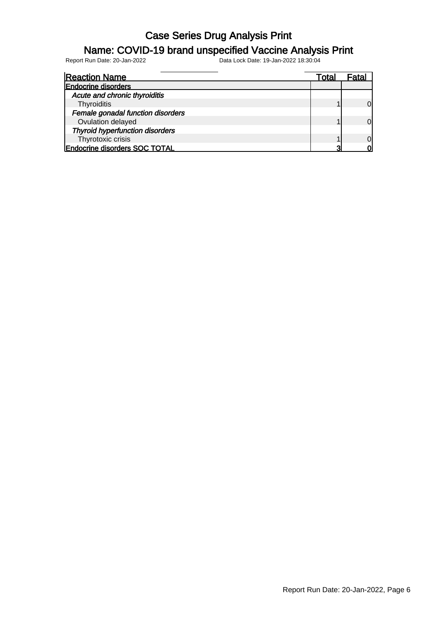#### Name: COVID-19 brand unspecified Vaccine Analysis Print

| <b>Reaction Name</b>                   | Total |          |
|----------------------------------------|-------|----------|
| <b>Endocrine disorders</b>             |       |          |
| Acute and chronic thyroiditis          |       |          |
| Thyroiditis                            |       |          |
| Female gonadal function disorders      |       |          |
| Ovulation delayed                      |       |          |
| <b>Thyroid hyperfunction disorders</b> |       |          |
| Thyrotoxic crisis                      |       | $\Omega$ |
| <b>Endocrine disorders SOC TOTAL</b>   |       |          |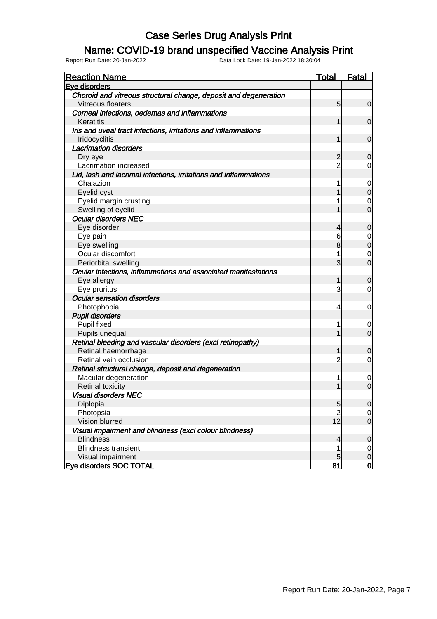#### Name: COVID-19 brand unspecified Vaccine Analysis Print

| <b>Reaction Name</b>                                                        | <b>Total</b>                     | <b>Fatal</b>                     |
|-----------------------------------------------------------------------------|----------------------------------|----------------------------------|
| Eve disorders                                                               |                                  |                                  |
| Choroid and vitreous structural change, deposit and degeneration            |                                  |                                  |
| Vitreous floaters                                                           | 5                                | $\overline{0}$                   |
| Corneal infections, oedemas and inflammations                               |                                  |                                  |
| Keratitis                                                                   |                                  | $\mathbf 0$                      |
| Iris and uveal tract infections, irritations and inflammations              |                                  |                                  |
| Iridocyclitis                                                               | 1                                | $\mathbf 0$                      |
| <b>Lacrimation disorders</b>                                                |                                  |                                  |
| Dry eye                                                                     | $\overline{2}$                   | $\mathbf 0$                      |
| Lacrimation increased                                                       | $\overline{2}$                   | $\overline{0}$                   |
| Lid, lash and lacrimal infections, irritations and inflammations            |                                  |                                  |
| Chalazion                                                                   |                                  | $\overline{0}$                   |
| Eyelid cyst                                                                 |                                  | $\mathbf 0$                      |
| Eyelid margin crusting                                                      |                                  | 0                                |
| Swelling of eyelid                                                          |                                  | $\overline{0}$                   |
| <b>Ocular disorders NEC</b>                                                 |                                  |                                  |
| Eye disorder                                                                | 4                                | $\mathbf 0$                      |
| Eye pain                                                                    | 6                                | $\overline{0}$                   |
| Eye swelling                                                                | 8                                | $\mathbf 0$                      |
| Ocular discomfort                                                           |                                  | 0                                |
| Periorbital swelling                                                        | 3                                | $\overline{0}$                   |
| Ocular infections, inflammations and associated manifestations              |                                  |                                  |
| Eye allergy                                                                 | 1                                | $\mathbf 0$                      |
| Eye pruritus                                                                | 3                                | $\overline{0}$                   |
| <b>Ocular sensation disorders</b>                                           |                                  |                                  |
| Photophobia                                                                 | 4                                | $\overline{0}$                   |
| <b>Pupil disorders</b>                                                      |                                  |                                  |
| Pupil fixed                                                                 |                                  | 0                                |
| Pupils unequal                                                              |                                  | $\overline{0}$                   |
| Retinal bleeding and vascular disorders (excl retinopathy)                  |                                  |                                  |
| Retinal haemorrhage                                                         | 1                                | $\mathbf 0$                      |
| Retinal vein occlusion                                                      | 2                                | $\overline{0}$                   |
| Retinal structural change, deposit and degeneration                         |                                  |                                  |
| Macular degeneration                                                        |                                  | $\mathbf 0$                      |
| <b>Retinal toxicity</b>                                                     |                                  | $\mathbf 0$                      |
| <b>Visual disorders NEC</b>                                                 |                                  |                                  |
| Diplopia                                                                    | $\overline{5}$<br>$\overline{2}$ | 0                                |
| Photopsia<br>Vision blurred                                                 | 12                               | $\overline{0}$<br>$\overline{0}$ |
|                                                                             |                                  |                                  |
| Visual impairment and blindness (excl colour blindness)<br><b>Blindness</b> |                                  |                                  |
| <b>Blindness transient</b>                                                  | $\overline{\mathcal{L}}$<br>1    | $\mathbf 0$                      |
|                                                                             | 5                                | $\overline{0}$                   |
| Visual impairment                                                           |                                  | $\mathsf{O}$<br>$\overline{0}$   |
| <b>Eve disorders SOC TOTAL</b>                                              | 81                               |                                  |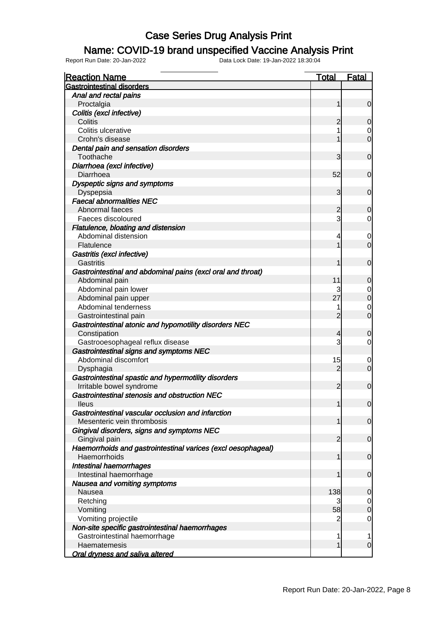### Name: COVID-19 brand unspecified Vaccine Analysis Print

| <b>Reaction Name</b>                                                            | <b>Total</b>   | <b>Fatal</b>                         |
|---------------------------------------------------------------------------------|----------------|--------------------------------------|
| <b>Gastrointestinal disorders</b>                                               |                |                                      |
| Anal and rectal pains                                                           |                |                                      |
| Proctalgia                                                                      | 1              | $\mathbf 0$                          |
| Colitis (excl infective)                                                        |                |                                      |
| Colitis                                                                         | 2              | $\mathbf 0$                          |
| Colitis ulcerative                                                              | 1              | $\begin{matrix} 0 \\ 0 \end{matrix}$ |
| Crohn's disease                                                                 | 1              |                                      |
| Dental pain and sensation disorders                                             |                |                                      |
| Toothache                                                                       | 3              | $\boldsymbol{0}$                     |
| Diarrhoea (excl infective)                                                      |                |                                      |
| Diarrhoea                                                                       | 52             | $\mathbf 0$                          |
| Dyspeptic signs and symptoms                                                    |                |                                      |
| Dyspepsia                                                                       | 3              | $\mathbf 0$                          |
| <b>Faecal abnormalities NEC</b>                                                 |                |                                      |
| Abnormal faeces                                                                 | 2              | $\mathbf 0$                          |
| Faeces discoloured                                                              | 3              | $\overline{0}$                       |
| Flatulence, bloating and distension                                             |                |                                      |
| Abdominal distension                                                            | 4              | $\mathbf 0$                          |
| Flatulence                                                                      | 1              | $\overline{0}$                       |
| Gastritis (excl infective)                                                      |                |                                      |
| Gastritis                                                                       | 1              | $\mathbf 0$                          |
| Gastrointestinal and abdominal pains (excl oral and throat)                     |                |                                      |
| Abdominal pain                                                                  | 11             | $\mathbf 0$                          |
| Abdominal pain lower                                                            |                | $\begin{matrix}0\\0\end{matrix}$     |
| Abdominal pain upper                                                            | 27             |                                      |
| Abdominal tenderness                                                            | 1              | $\begin{matrix} 0 \\ 0 \end{matrix}$ |
| Gastrointestinal pain                                                           | $\overline{2}$ |                                      |
| Gastrointestinal atonic and hypomotility disorders NEC                          |                |                                      |
| Constipation                                                                    | 4              | $\mathbf 0$                          |
| Gastrooesophageal reflux disease                                                | 3              | $\overline{0}$                       |
| Gastrointestinal signs and symptoms NEC                                         |                |                                      |
| Abdominal discomfort                                                            | 15             | $\mathbf 0$                          |
| Dysphagia                                                                       | $\overline{2}$ | $\overline{0}$                       |
| Gastrointestinal spastic and hypermotility disorders                            |                |                                      |
| Irritable bowel syndrome                                                        | 2              | $\mathbf 0$                          |
| Gastrointestinal stenosis and obstruction NEC                                   |                |                                      |
| <b>Ileus</b>                                                                    | 1              | 0                                    |
| Gastrointestinal vascular occlusion and infarction                              |                |                                      |
| Mesenteric vein thrombosis                                                      | 1              | $\mathbf 0$                          |
| Gingival disorders, signs and symptoms NEC                                      |                |                                      |
| Gingival pain                                                                   | 2              | $\mathbf 0$                          |
| Haemorrhoids and gastrointestinal varices (excl oesophageal)                    |                |                                      |
| Haemorrhoids                                                                    | 1              | $\mathbf 0$                          |
| <b>Intestinal haemorrhages</b>                                                  |                |                                      |
| Intestinal haemorrhage                                                          | 1              | $\boldsymbol{0}$                     |
| Nausea and vomiting symptoms<br>Nausea                                          | 138            |                                      |
|                                                                                 |                | $\mathbf 0$                          |
| Retching                                                                        | 58             | $\mathbf 0$<br>$\overline{0}$        |
| Vomiting<br>Vomiting projectile                                                 |                | $\mathbf 0$                          |
|                                                                                 |                |                                      |
| Non-site specific gastrointestinal haemorrhages<br>Gastrointestinal haemorrhage | 1              | 1                                    |
| Haematemesis                                                                    | 1              | $\mathbf 0$                          |
| <b>Oral dryness and saliva altered</b>                                          |                |                                      |
|                                                                                 |                |                                      |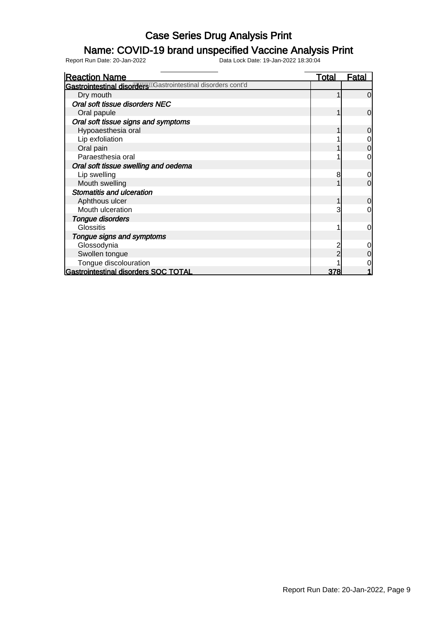### Name: COVID-19 brand unspecified Vaccine Analysis Print

Report Run Date: 20-Jan-2022 Data Lock Date: 19-Jan-2022 18:30:04

Reaction Name Total Fatal Gastrointestinal disorders Castrointestinal disorders cont'd Dry mouth that is a contract of the contract of the contract of  $\begin{bmatrix} 1 & 0 \end{bmatrix}$  Oral soft tissue disorders NEC Oral papule 1 0 Oral soft tissue signs and symptoms Hypoaesthesia oral 1 0 Lip exfoliation and the contract of the contract of the contract of the contract of the contract of the contract of the contract of the contract of the contract of the contract of the contract of the contract of the contra Oral pain 1 0 Paraesthesia oral 1 0 Oral soft tissue swelling and oedema Lip swelling  $\begin{array}{ccc} 8 & 0 \\ 8 & 1 \end{array}$ <br>Mouth swelling  $\begin{array}{ccc} 8 & 0 \\ 1 & 0 \end{array}$ Mouth swelling Stomatitis and ulceration Aphthous ulcer 1 0 Mouth ulceration and the set of the set of the set of the set of the set of the set of the set of the set of the set of the set of the set of the set of the set of the set of the set of the set of the set of the set of the Tongue disorders Glossitis 1 0 Tongue signs and symptoms Glossodynia 2 0<br>Swollen tonque 2 0<br>2 0 Swollen tongue 2 0<br>
Tonque discolouration<br>
2 0<br>
2 0 Tongue discolouration 1 0 Gastrointestinal disorders SOC TOTAL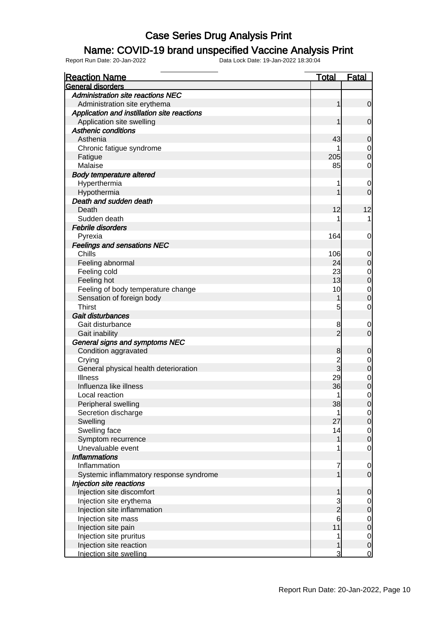### Name: COVID-19 brand unspecified Vaccine Analysis Print

| <b>Reaction Name</b>                        | <b>Total</b>   | <b>Fatal</b>                         |
|---------------------------------------------|----------------|--------------------------------------|
| <b>General disorders</b>                    |                |                                      |
| <b>Administration site reactions NEC</b>    |                |                                      |
| Administration site erythema                | 1              | $\mathbf 0$                          |
| Application and instillation site reactions |                |                                      |
| Application site swelling                   | 1              | $\mathbf 0$                          |
| <b>Asthenic conditions</b>                  |                |                                      |
| Asthenia                                    | 43             | $\mathbf 0$                          |
| Chronic fatigue syndrome                    |                | $\overline{0}$                       |
| Fatigue                                     | 205            | $\overline{0}$                       |
| Malaise                                     | 85             | $\mathbf 0$                          |
| <b>Body temperature altered</b>             |                |                                      |
| Hyperthermia                                | 1              | $\mathbf 0$                          |
| Hypothermia                                 | 1              | $\overline{0}$                       |
| Death and sudden death                      |                |                                      |
| Death                                       | 12             | 12                                   |
| Sudden death                                |                | 1                                    |
| <b>Febrile disorders</b>                    |                |                                      |
| Pyrexia                                     | 164            | 0                                    |
| <b>Feelings and sensations NEC</b>          |                |                                      |
| Chills                                      | 106            | $\mathbf 0$                          |
| Feeling abnormal                            | 24             | $\pmb{0}$                            |
| Feeling cold                                | 23             | $\overline{0}$                       |
| Feeling hot                                 | 13             | $\overline{0}$                       |
| Feeling of body temperature change          | 10             | $\overline{0}$                       |
| Sensation of foreign body                   | 1              | $\overline{0}$                       |
| <b>Thirst</b>                               | 5              | $\mathbf 0$                          |
| Gait disturbances                           |                |                                      |
| Gait disturbance                            | 8              | $\mathbf 0$                          |
| Gait inability                              | $\overline{2}$ | $\mathbf 0$                          |
| General signs and symptoms NEC              |                |                                      |
| Condition aggravated                        | 8              | $\mathbf 0$                          |
| Crying                                      | $\overline{c}$ | $\mathbf 0$                          |
| General physical health deterioration       | $\overline{3}$ | $\mathbf 0$                          |
| <b>Illness</b>                              | 29             |                                      |
| Influenza like illness                      | 36             | $0$<br>0                             |
| Local reaction                              | 1              | $\mathbf 0$                          |
| Peripheral swelling                         | 38             | 0                                    |
| Secretion discharge                         | 1              | $\overline{0}$                       |
| Swelling                                    | 27             | $\mathbf 0$                          |
| Swelling face                               | 14             |                                      |
| Symptom recurrence                          | 1              | $\begin{matrix} 0 \\ 0 \end{matrix}$ |
| Unevaluable event                           |                | $\mathbf 0$                          |
| <b>Inflammations</b>                        |                |                                      |
| Inflammation                                | 7              | $\mathbf 0$                          |
| Systemic inflammatory response syndrome     | $\mathbf{1}$   | $\mathbf 0$                          |
| Injection site reactions                    |                |                                      |
| Injection site discomfort                   | 1              | $\mathbf 0$                          |
| Injection site erythema                     |                | $\overline{0}$                       |
| Injection site inflammation                 | $\frac{3}{2}$  | $\mathbf 0$                          |
| Injection site mass                         | 6              |                                      |
| Injection site pain                         | 11             | $0$ 0                                |
| Injection site pruritus                     | 1              |                                      |
| Injection site reaction                     | $\mathbf{1}$   | $\begin{matrix} 0 \\ 0 \end{matrix}$ |
| Injection site swelling                     | 3              | $\overline{0}$                       |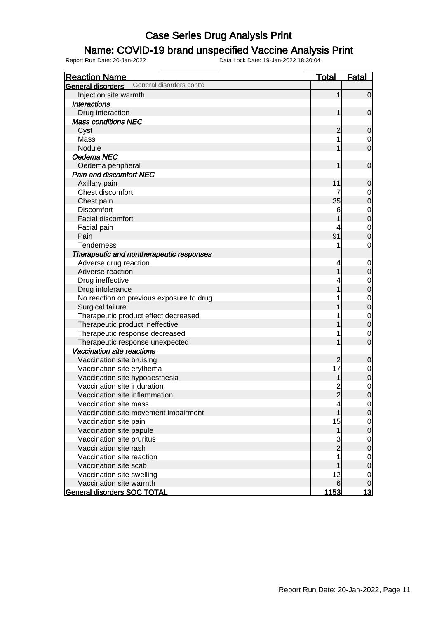### Name: COVID-19 brand unspecified Vaccine Analysis Print

| <b>Reaction Name</b>                                 | <b>Total</b>             | <b>Fatal</b>                     |
|------------------------------------------------------|--------------------------|----------------------------------|
| General disorders cont'd<br><b>General disorders</b> |                          |                                  |
| Injection site warmth                                | 1                        | $\mathbf 0$                      |
| <b>Interactions</b>                                  |                          |                                  |
| Drug interaction                                     | 1                        | $\mathbf 0$                      |
| <b>Mass conditions NEC</b>                           |                          |                                  |
| Cyst                                                 | $\overline{2}$           | $\mathbf 0$                      |
| Mass                                                 | 1                        | $\mathbf 0$                      |
| Nodule                                               | 1                        | $\overline{0}$                   |
| Oedema NEC                                           |                          |                                  |
| Oedema peripheral                                    | 1                        | $\mathbf 0$                      |
| <b>Pain and discomfort NEC</b>                       |                          |                                  |
| Axillary pain                                        | 11                       | $\mathbf 0$                      |
| Chest discomfort                                     | 7                        | $\mathbf 0$                      |
| Chest pain                                           | 35                       | $\mathbf 0$                      |
| <b>Discomfort</b>                                    | 6                        |                                  |
| Facial discomfort                                    |                          | $0\atop 0$                       |
| Facial pain                                          | 4                        |                                  |
| Pain                                                 | 91                       | $0\atop 0$                       |
| <b>Tenderness</b>                                    | 1                        | $\mathbf 0$                      |
| Therapeutic and nontherapeutic responses             |                          |                                  |
| Adverse drug reaction                                | 4                        | $\mathbf 0$                      |
| Adverse reaction                                     | 1                        | $\mathbf 0$                      |
| Drug ineffective                                     |                          |                                  |
| Drug intolerance                                     |                          | $0\atop 0$                       |
| No reaction on previous exposure to drug             |                          |                                  |
| Surgical failure                                     |                          | $0\atop 0$                       |
| Therapeutic product effect decreased                 |                          |                                  |
| Therapeutic product ineffective                      |                          | $0\atop 0$                       |
| Therapeutic response decreased                       |                          | $\mathbf 0$                      |
| Therapeutic response unexpected                      |                          | $\overline{0}$                   |
| Vaccination site reactions                           |                          |                                  |
| Vaccination site bruising                            | $\overline{2}$           | $\mathbf 0$                      |
| Vaccination site erythema                            | 17                       | $\mathbf{0}$                     |
| Vaccination site hypoaesthesia                       | 1                        | $\overline{0}$                   |
| Vaccination site induration                          | $\overline{c}$           |                                  |
| Vaccination site inflammation                        | $\overline{2}$           | $\begin{matrix}0\\0\end{matrix}$ |
| Vaccination site mass                                | $\overline{\mathcal{A}}$ | $\overline{0}$                   |
| Vaccination site movement impairment                 | $\mathbf{1}$             | $\overline{O}$                   |
| Vaccination site pain                                | 15                       | $\mathbf 0$                      |
| Vaccination site papule                              | $\mathbf{1}$             | $\overline{0}$                   |
| Vaccination site pruritus                            | 3                        | $\overline{0}$                   |
| Vaccination site rash                                | $\overline{2}$           | $\overline{0}$                   |
| Vaccination site reaction                            |                          | $\boldsymbol{0}$                 |
| Vaccination site scab                                |                          | $\overline{0}$                   |
| Vaccination site swelling                            | 12                       | $\mathbf 0$                      |
| Vaccination site warmth                              | 6                        | $\mathbf 0$                      |
| General disorders SOC TOTAL                          | <u> 1153 </u>            | <u> 13</u>                       |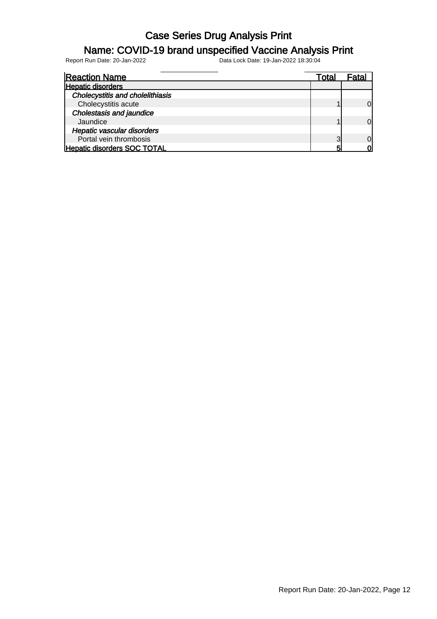#### Name: COVID-19 brand unspecified Vaccine Analysis Print

| <b>Reaction Name</b>                    | Total | Fata |
|-----------------------------------------|-------|------|
| <b>Hepatic disorders</b>                |       |      |
| <b>Cholecystitis and cholelithiasis</b> |       |      |
| Cholecystitis acute                     |       | ΩI   |
| Cholestasis and jaundice                |       |      |
| Jaundice                                |       | ΩI   |
| Hepatic vascular disorders              |       |      |
| Portal vein thrombosis                  | っ     | O    |
| <b>Hepatic disorders SOC TOTAL</b>      |       |      |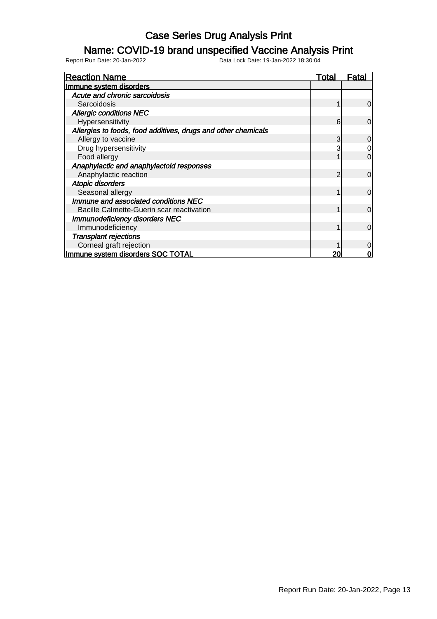#### Name: COVID-19 brand unspecified Vaccine Analysis Print

| <b>Reaction Name</b>                                          | Total | Fatal    |
|---------------------------------------------------------------|-------|----------|
| Immune system disorders                                       |       |          |
| Acute and chronic sarcoidosis                                 |       |          |
| Sarcoidosis                                                   |       | 0        |
| <b>Allergic conditions NEC</b>                                |       |          |
| Hypersensitivity                                              | 6     | $\Omega$ |
| Allergies to foods, food additives, drugs and other chemicals |       |          |
| Allergy to vaccine                                            | 3     |          |
| Drug hypersensitivity                                         |       |          |
| Food allergy                                                  |       | 0        |
| Anaphylactic and anaphylactoid responses                      |       |          |
| Anaphylactic reaction                                         |       | 0        |
| <b>Atopic disorders</b>                                       |       |          |
| Seasonal allergy                                              |       | $\Omega$ |
| Immune and associated conditions NEC                          |       |          |
| Bacille Calmette-Guerin scar reactivation                     |       | 0        |
| <b>Immunodeficiency disorders NEC</b>                         |       |          |
| Immunodeficiency                                              |       | ი        |
| <b>Transplant rejections</b>                                  |       |          |
| Corneal graft rejection                                       |       |          |
| Immune system disorders SOC TOTAL                             |       |          |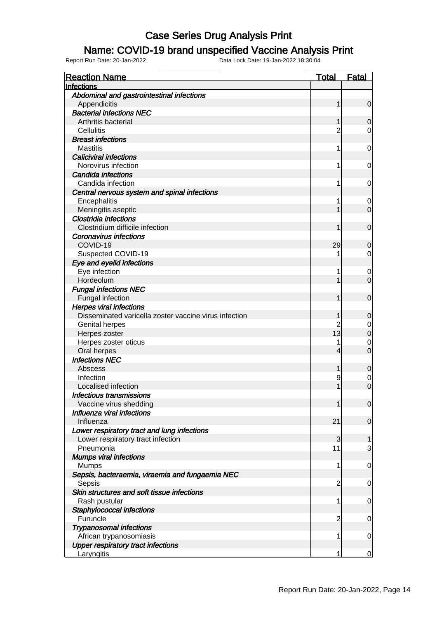#### Name: COVID-19 brand unspecified Vaccine Analysis Print

| <b>Reaction Name</b>                                                 | <u>Total</u>   | <u>Fatal</u>   |
|----------------------------------------------------------------------|----------------|----------------|
| Infections                                                           |                |                |
| Abdominal and gastrointestinal infections                            |                |                |
| Appendicitis                                                         |                | 0              |
| <b>Bacterial infections NEC</b>                                      |                |                |
| Arthritis bacterial                                                  |                | 0              |
| Cellulitis                                                           | 2              | 0              |
| <b>Breast infections</b>                                             |                |                |
| <b>Mastitis</b>                                                      | 1              | 0              |
| <b>Caliciviral infections</b>                                        |                |                |
| Norovirus infection                                                  | 1              | 0              |
| Candida infections                                                   |                |                |
| Candida infection                                                    | 1              | 0              |
| Central nervous system and spinal infections                         |                |                |
| Encephalitis                                                         |                | $\mathbf 0$    |
| Meningitis aseptic                                                   |                | $\overline{0}$ |
| <b>Clostridia infections</b>                                         |                |                |
| Clostridium difficile infection                                      |                | $\mathbf 0$    |
| <b>Coronavirus infections</b>                                        |                |                |
| COVID-19                                                             | 29             | 0              |
| Suspected COVID-19                                                   |                | 0              |
| Eye and eyelid infections                                            |                |                |
| Eye infection                                                        | 1              | $\mathbf 0$    |
| Hordeolum                                                            |                | $\overline{0}$ |
| <b>Fungal infections NEC</b>                                         |                |                |
| Fungal infection                                                     |                | $\mathbf 0$    |
| <b>Herpes viral infections</b>                                       |                |                |
| Disseminated varicella zoster vaccine virus infection                |                | 0              |
| <b>Genital herpes</b>                                                |                | $\mathbf 0$    |
| Herpes zoster                                                        | 13             | $\mathbf 0$    |
| Herpes zoster oticus                                                 |                | $\mathbf 0$    |
| Oral herpes                                                          | 4              | $\overline{0}$ |
| <b>Infections NEC</b>                                                |                |                |
| Abscess                                                              |                | 0              |
| Infection                                                            | 9              | $\mathbf 0$    |
| Localised infection                                                  |                | $\overline{0}$ |
| <b>Infectious transmissions</b>                                      |                |                |
| Vaccine virus shedding                                               |                | $\overline{0}$ |
| Influenza viral infections                                           |                |                |
| Influenza                                                            | 21             | $\overline{0}$ |
| Lower respiratory tract and lung infections                          |                |                |
| Lower respiratory tract infection                                    | $\mathbf{3}$   | $\mathbf{1}$   |
| Pneumonia                                                            | 11             | 3              |
| <b>Mumps viral infections</b>                                        |                |                |
| <b>Mumps</b>                                                         | 1              | 0              |
| Sepsis, bacteraemia, viraemia and fungaemia NEC                      |                |                |
| Sepsis                                                               | $\overline{2}$ | 0              |
| Skin structures and soft tissue infections                           |                |                |
|                                                                      | 1              |                |
| Rash pustular                                                        |                | 0              |
| Staphylococcal infections<br>Furuncle                                | $\overline{2}$ |                |
|                                                                      |                | 0              |
| <b>Trypanosomal infections</b>                                       | 1              |                |
| African trypanosomiasis<br><b>Upper respiratory tract infections</b> |                | 0              |
|                                                                      | 1              |                |
| Laryngitis                                                           |                | 0              |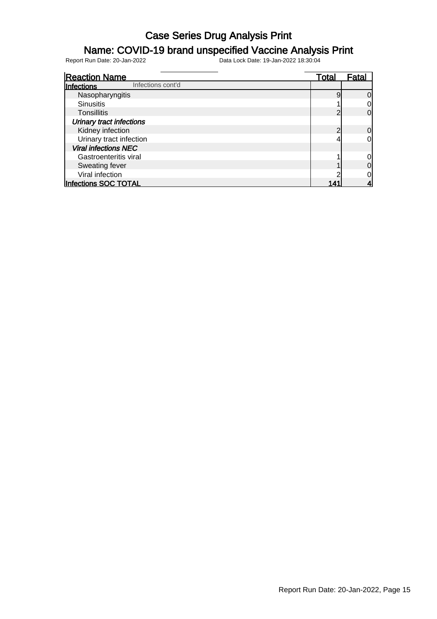### Name: COVID-19 brand unspecified Vaccine Analysis Print

| <b>Reaction Name</b>            | Total | Fatal    |
|---------------------------------|-------|----------|
| Infections cont'd<br>Infections |       |          |
| Nasopharyngitis                 |       | 0        |
| <b>Sinusitis</b>                |       |          |
| Tonsillitis                     | ⌒     | 0        |
| <b>Urinary tract infections</b> |       |          |
| Kidney infection                |       | $\Omega$ |
| Urinary tract infection         |       |          |
| <b>Viral infections NEC</b>     |       |          |
| Gastroenteritis viral           |       |          |
| Sweating fever                  |       |          |
| Viral infection                 |       |          |
| <b>Infections SOC TOTAL</b>     |       |          |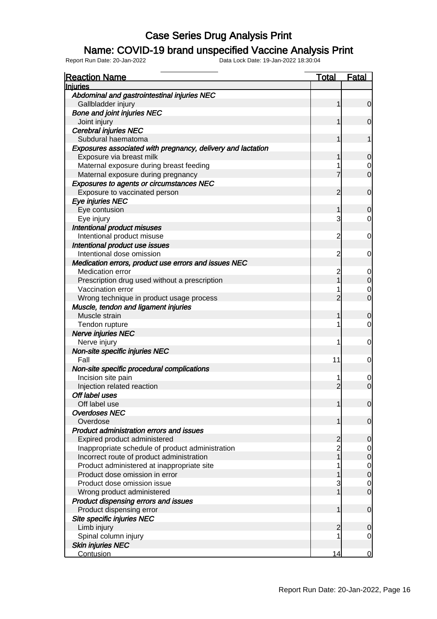#### Name: COVID-19 brand unspecified Vaccine Analysis Print

| <b>Reaction Name</b>                                        | <u>Total</u>   | <u>Fatal</u>   |
|-------------------------------------------------------------|----------------|----------------|
| <b>Injuries</b>                                             |                |                |
| Abdominal and gastrointestinal injuries NEC                 |                |                |
| Gallbladder injury                                          | 1              | $\overline{0}$ |
| <b>Bone and joint injuries NEC</b>                          |                |                |
| Joint injury                                                | 1              | $\overline{0}$ |
| <b>Cerebral injuries NEC</b>                                |                |                |
| Subdural haematoma                                          | 1              | 1              |
| Exposures associated with pregnancy, delivery and lactation |                |                |
| Exposure via breast milk                                    |                | 0              |
| Maternal exposure during breast feeding                     | 1              | $\mathbf 0$    |
| Maternal exposure during pregnancy                          | 7              | $\overline{0}$ |
| <b>Exposures to agents or circumstances NEC</b>             |                |                |
| Exposure to vaccinated person                               | 2              | $\mathbf 0$    |
| Eye injuries NEC                                            |                |                |
| Eye contusion                                               | 1              | 0              |
| Eye injury                                                  | 3              | 0              |
| Intentional product misuses                                 |                |                |
| Intentional product misuse                                  | $\overline{c}$ | $\mathbf 0$    |
| Intentional product use issues                              |                |                |
| Intentional dose omission                                   | $\overline{c}$ | 0              |
| Medication errors, product use errors and issues NEC        |                |                |
| <b>Medication error</b>                                     | $\overline{c}$ | $\mathbf 0$    |
| Prescription drug used without a prescription               | 1              | $\mathbf 0$    |
| Vaccination error                                           | 1              | $\mathbf 0$    |
| Wrong technique in product usage process                    | $\overline{2}$ | $\overline{0}$ |
| Muscle, tendon and ligament injuries                        |                |                |
| Muscle strain                                               | 1              | 0              |
| Tendon rupture                                              | 1              | 0              |
| <b>Nerve injuries NEC</b>                                   |                |                |
| Nerve injury                                                | 1              | $\mathbf 0$    |
| Non-site specific injuries NEC                              |                |                |
| Fall                                                        | 11             | 0              |
| Non-site specific procedural complications                  |                |                |
| Incision site pain                                          | 1              | $\mathbf 0$    |
| Injection related reaction                                  | $\overline{2}$ | $\overline{0}$ |
| Off label uses                                              |                |                |
| Off label use                                               | 11             | $\overline{0}$ |
| <b>Overdoses NEC</b>                                        |                |                |
| Overdose                                                    | 1              | $\overline{0}$ |
| <b>Product administration errors and issues</b>             |                |                |
| Expired product administered                                | $\overline{c}$ | 0              |
| Inappropriate schedule of product administration            | $\overline{2}$ | $\mathbf 0$    |
| Incorrect route of product administration                   | $\overline{1}$ | $\mathbf 0$    |
| Product administered at inappropriate site                  | 1              | $\mathbf 0$    |
| Product dose omission in error                              |                | $\overline{0}$ |
| Product dose omission issue                                 | 3              | $\mathbf 0$    |
| Wrong product administered                                  | 1              | $\mathbf 0$    |
| Product dispensing errors and issues                        |                |                |
| Product dispensing error                                    | 1              | $\mathbf 0$    |
| Site specific injuries NEC                                  |                |                |
| Limb injury                                                 | 2              | 0              |
| Spinal column injury                                        | 1              | $\overline{0}$ |
| <b>Skin injuries NEC</b>                                    |                |                |
| Contusion                                                   | 14             | $\overline{0}$ |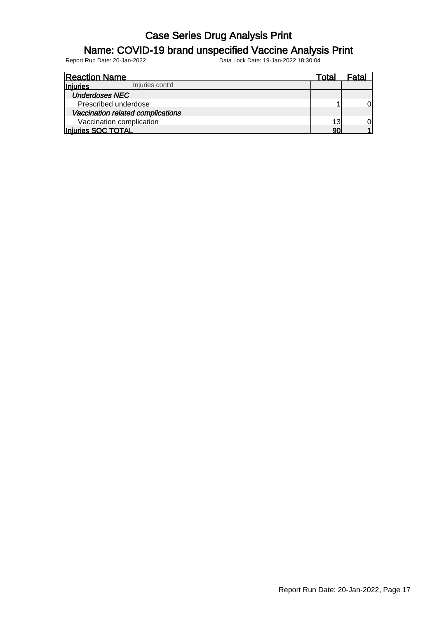#### Name: COVID-19 brand unspecified Vaccine Analysis Print

| <b>Reaction Name</b>               | Total | Fatal |
|------------------------------------|-------|-------|
| Injuries cont'd<br><b>Injuries</b> |       |       |
| <b>Underdoses NEC</b>              |       |       |
| Prescribed underdose               |       | ЭI    |
| Vaccination related complications  |       |       |
| Vaccination complication           | 13    | ЭI    |
| Injuries SOC TOTAL                 | 90    |       |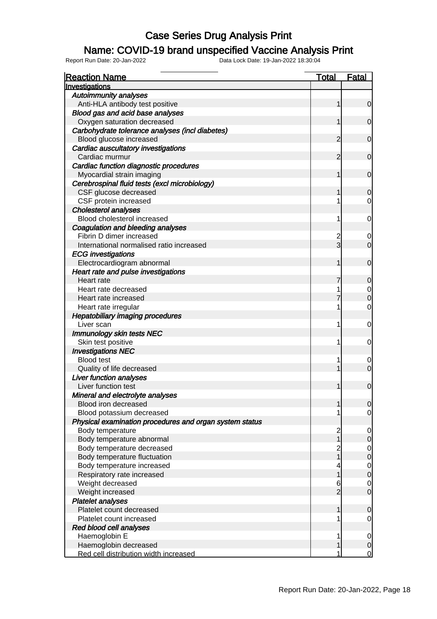#### Name: COVID-19 brand unspecified Vaccine Analysis Print

| <b>Reaction Name</b>                                    | <b>Total</b>                          | <b>Fatal</b>                     |
|---------------------------------------------------------|---------------------------------------|----------------------------------|
| Investigations                                          |                                       |                                  |
| <b>Autoimmunity analyses</b>                            |                                       |                                  |
| Anti-HLA antibody test positive                         | 1                                     | $\mathbf 0$                      |
| Blood gas and acid base analyses                        |                                       |                                  |
| Oxygen saturation decreased                             | 1                                     | $\mathbf 0$                      |
| Carbohydrate tolerance analyses (incl diabetes)         |                                       |                                  |
| Blood glucose increased                                 | 2                                     | $\mathbf 0$                      |
| Cardiac auscultatory investigations                     |                                       |                                  |
| Cardiac murmur                                          | 2                                     | $\mathbf 0$                      |
| Cardiac function diagnostic procedures                  |                                       |                                  |
| Myocardial strain imaging                               | 1                                     | $\mathbf 0$                      |
| Cerebrospinal fluid tests (excl microbiology)           |                                       |                                  |
| CSF glucose decreased                                   |                                       | $\mathbf 0$                      |
| CSF protein increased                                   |                                       | 0                                |
| <b>Cholesterol analyses</b>                             |                                       |                                  |
| Blood cholesterol increased                             | 1                                     | $\mathbf 0$                      |
| Coagulation and bleeding analyses                       |                                       |                                  |
| Fibrin D dimer increased                                | $\overline{c}$                        | 0                                |
| International normalised ratio increased                | $\overline{3}$                        | $\overline{0}$                   |
| <b>ECG</b> investigations                               |                                       |                                  |
| Electrocardiogram abnormal                              | 1                                     | $\mathbf 0$                      |
| Heart rate and pulse investigations                     |                                       |                                  |
| Heart rate                                              |                                       | $\mathbf 0$                      |
| Heart rate decreased                                    |                                       | $\mathbf 0$                      |
| Heart rate increased                                    |                                       | $\mathbf 0$                      |
| Heart rate irregular                                    | 1                                     | $\mathbf 0$                      |
| <b>Hepatobiliary imaging procedures</b>                 |                                       |                                  |
| Liver scan                                              | 1                                     | $\mathbf 0$                      |
| <b>Immunology skin tests NEC</b>                        |                                       |                                  |
| Skin test positive                                      | 1                                     | 0                                |
| <b>Investigations NEC</b>                               |                                       |                                  |
| <b>Blood test</b>                                       |                                       | 0                                |
| Quality of life decreased                               |                                       | $\overline{0}$                   |
| <b>Liver function analyses</b>                          |                                       |                                  |
| Liver function test                                     | 1                                     | $\mathbf 0$                      |
| Mineral and electrolyte analyses                        |                                       |                                  |
| Blood iron decreased                                    | 1                                     | 0                                |
| Blood potassium decreased                               |                                       | $\overline{0}$                   |
| Physical examination procedures and organ system status |                                       |                                  |
| Body temperature                                        | $\begin{array}{c} 2 \\ 1 \end{array}$ | $\mathbf 0$                      |
| Body temperature abnormal                               |                                       | $\boldsymbol{0}$                 |
| Body temperature decreased                              | 2<br>1                                | $\begin{matrix}0\\0\end{matrix}$ |
| Body temperature fluctuation                            |                                       |                                  |
| Body temperature increased                              |                                       | $0$<br>0                         |
| Respiratory rate increased                              | 1                                     |                                  |
| Weight decreased                                        | 6                                     | $\begin{matrix}0\\0\end{matrix}$ |
| Weight increased                                        | $\overline{2}$                        |                                  |
| <b>Platelet analyses</b>                                |                                       |                                  |
| Platelet count decreased                                | 1                                     | $\mathbf 0$                      |
| Platelet count increased                                |                                       | $\mathbf 0$                      |
| Red blood cell analyses                                 |                                       |                                  |
| Haemoglobin E                                           | 1                                     | $\mathbf 0$                      |
| Haemoglobin decreased                                   | 1                                     | $\mathbf 0$                      |
| Red cell distribution width increased                   | 1                                     | $\overline{0}$                   |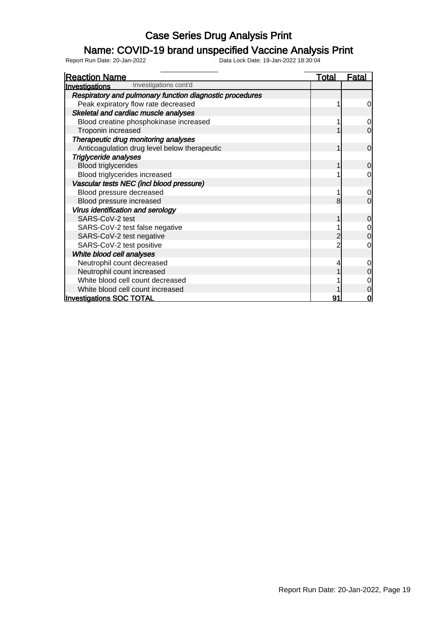### Name: COVID-19 brand unspecified Vaccine Analysis Print

| <b>Reaction Name</b>                                     | <u>Total</u> | Fatal          |
|----------------------------------------------------------|--------------|----------------|
| Investigations cont'd<br>Investigations                  |              |                |
| Respiratory and pulmonary function diagnostic procedures |              |                |
| Peak expiratory flow rate decreased                      |              | 0              |
| Skeletal and cardiac muscle analyses                     |              |                |
| Blood creatine phosphokinase increased                   |              | $\overline{0}$ |
| Troponin increased                                       |              | $\mathbf 0$    |
| Therapeutic drug monitoring analyses                     |              |                |
| Anticoagulation drug level below therapeutic             |              | $\mathbf 0$    |
| <b>Triglyceride analyses</b>                             |              |                |
| <b>Blood triglycerides</b>                               |              | $\overline{0}$ |
| Blood triglycerides increased                            |              | $\overline{0}$ |
| Vascular tests NEC (incl blood pressure)                 |              |                |
| Blood pressure decreased                                 |              | $\mathbf 0$    |
| Blood pressure increased                                 | 8            | $\overline{0}$ |
| Virus identification and serology                        |              |                |
| SARS-CoV-2 test                                          |              | $\mathbf 0$    |
| SARS-CoV-2 test false negative                           |              | $\mathbf 0$    |
| SARS-CoV-2 test negative                                 |              | $\Omega$       |
| SARS-CoV-2 test positive                                 |              | 0              |
| White blood cell analyses                                |              |                |
| Neutrophil count decreased                               |              | 0              |
| Neutrophil count increased                               |              | 0              |
| White blood cell count decreased                         |              |                |
| White blood cell count increased                         |              | 0              |
| <b>Investigations SOC TOTAL</b>                          | 91           | O              |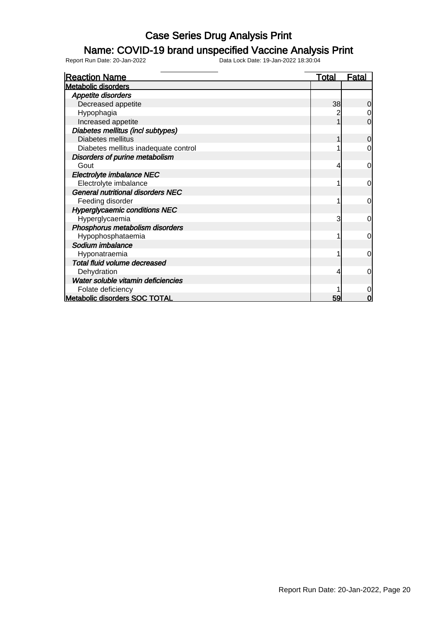### Name: COVID-19 brand unspecified Vaccine Analysis Print

| <b>Reaction Name</b>                     | <u>Total</u> | <u>Fatal</u>   |
|------------------------------------------|--------------|----------------|
| <b>Metabolic disorders</b>               |              |                |
| <b>Appetite disorders</b>                |              |                |
| Decreased appetite                       | 38           | $\overline{0}$ |
| Hypophagia                               |              | 0              |
| Increased appetite                       |              | $\mathbf 0$    |
| Diabetes mellitus (incl subtypes)        |              |                |
| Diabetes mellitus                        |              | 0              |
| Diabetes mellitus inadequate control     |              | 0              |
| Disorders of purine metabolism           |              |                |
| Gout                                     | 4            | $\overline{0}$ |
| Electrolyte imbalance NEC                |              |                |
| Electrolyte imbalance                    |              | 0              |
| <b>General nutritional disorders NEC</b> |              |                |
| Feeding disorder                         |              | $\mathbf 0$    |
| <b>Hyperglycaemic conditions NEC</b>     |              |                |
| Hyperglycaemia                           | 3            | $\Omega$       |
| Phosphorus metabolism disorders          |              |                |
| Hypophosphataemia                        |              | $\overline{0}$ |
| Sodium imbalance                         |              |                |
| Hyponatraemia                            |              | $\mathbf 0$    |
| Total fluid volume decreased             |              |                |
| Dehydration                              |              | 0              |
| Water soluble vitamin deficiencies       |              |                |
| Folate deficiency                        |              | 0              |
| <b>Metabolic disorders SOC TOTAL</b>     | 59           | 0              |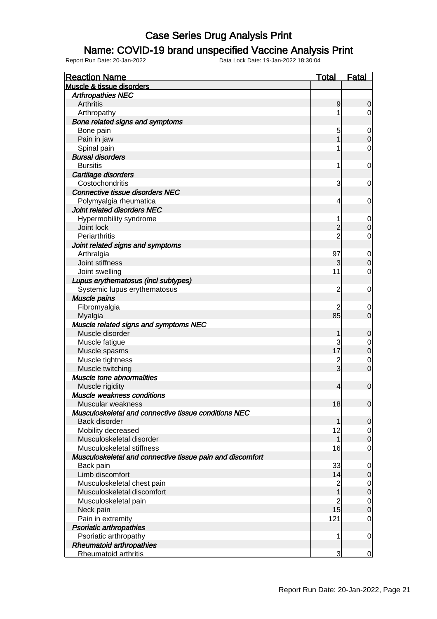### Name: COVID-19 brand unspecified Vaccine Analysis Print

| <b>Reaction Name</b>                                      | <b>Total</b>   | <b>Fatal</b>     |
|-----------------------------------------------------------|----------------|------------------|
| Muscle & tissue disorders                                 |                |                  |
| <b>Arthropathies NEC</b>                                  |                |                  |
| Arthritis                                                 | 9              | 0                |
| Arthropathy                                               | 1              | $\overline{0}$   |
| Bone related signs and symptoms                           |                |                  |
| Bone pain                                                 | 5              | $\boldsymbol{0}$ |
| Pain in jaw                                               | 1              | $\mathbf 0$      |
| Spinal pain                                               | 1              | 0                |
| <b>Bursal disorders</b>                                   |                |                  |
| <b>Bursitis</b>                                           | 1              | $\mathbf 0$      |
| Cartilage disorders                                       |                |                  |
| Costochondritis                                           | 3              | 0                |
| <b>Connective tissue disorders NEC</b>                    |                |                  |
| Polymyalgia rheumatica                                    | 4              | $\mathbf 0$      |
| Joint related disorders NEC                               |                |                  |
| Hypermobility syndrome                                    | 1              | $\mathbf 0$      |
| Joint lock                                                | $\overline{c}$ | $\mathbf 0$      |
| Periarthritis                                             | $\overline{2}$ | 0                |
| Joint related signs and symptoms                          |                |                  |
| Arthralgia                                                | 97             | $\mathbf 0$      |
| Joint stiffness                                           | $\overline{3}$ | $\mathbf 0$      |
| Joint swelling                                            | 11             | 0                |
| Lupus erythematosus (incl subtypes)                       |                |                  |
| Systemic lupus erythematosus                              | 2              | $\mathbf 0$      |
| Muscle pains                                              |                |                  |
| Fibromyalgia                                              | 2              | $\mathbf 0$      |
| Myalgia                                                   | 85             | $\overline{0}$   |
| Muscle related signs and symptoms NEC                     |                |                  |
| Muscle disorder                                           | 1              | $\mathbf 0$      |
| Muscle fatigue                                            | 3              | $\mathbf 0$      |
| Muscle spasms                                             | 17             | $\overline{0}$   |
| Muscle tightness                                          | $\overline{2}$ | $\mathbf 0$      |
| Muscle twitching                                          | $\overline{3}$ | $\overline{0}$   |
| Muscle tone abnormalities                                 |                |                  |
| Muscle rigidity                                           | 4              | $\boldsymbol{0}$ |
| <b>Muscle weakness conditions</b>                         |                |                  |
| Muscular weakness                                         | 18             | 0                |
| Musculoskeletal and connective tissue conditions NEC      |                |                  |
| Back disorder                                             | 1              | $\overline{0}$   |
| Mobility decreased                                        | 12             | $\overline{0}$   |
| Musculoskeletal disorder                                  | $\mathbf{1}$   | $\mathbf 0$      |
| Musculoskeletal stiffness                                 | 16             | $\mathbf 0$      |
| Musculoskeletal and connective tissue pain and discomfort |                |                  |
| Back pain                                                 | 33             | $\mathbf 0$      |
| Limb discomfort                                           | 14             | $\mathbf 0$      |
| Musculoskeletal chest pain                                | $\overline{2}$ | $\mathbf 0$      |
| Musculoskeletal discomfort                                | $\mathbf{1}$   | $\overline{0}$   |
| Musculoskeletal pain                                      | $\overline{2}$ | $\mathbf 0$      |
| Neck pain                                                 | 15             | $\overline{0}$   |
| Pain in extremity                                         | 121            | $\mathbf 0$      |
| <b>Psoriatic arthropathies</b>                            |                |                  |
| Psoriatic arthropathy                                     | 1              | $\overline{0}$   |
| <b>Rheumatoid arthropathies</b>                           |                |                  |
| Rheumatoid arthritis                                      | 3              | $\overline{0}$   |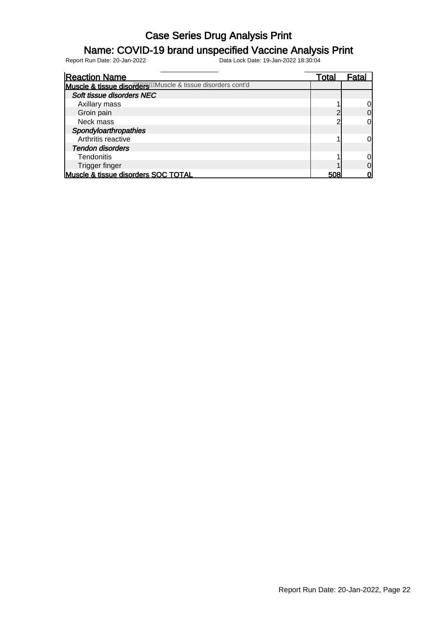### Name: COVID-19 brand unspecified Vaccine Analysis Print

| <b>Reaction Name</b>                                       | Total | Fatal |
|------------------------------------------------------------|-------|-------|
| Muscle & tissue disorders Muscle & tissue disorders cont'd |       |       |
| Soft tissue disorders NEC                                  |       |       |
| Axillary mass                                              |       |       |
| Groin pain                                                 |       |       |
| Neck mass                                                  |       |       |
| Spondyloarthropathies                                      |       |       |
| Arthritis reactive                                         |       |       |
| <b>Tendon disorders</b>                                    |       |       |
| <b>Tendonitis</b>                                          |       |       |
| <b>Trigger finger</b>                                      |       |       |
| Muscle & tissue disorders SOC TOTAL                        | 508   |       |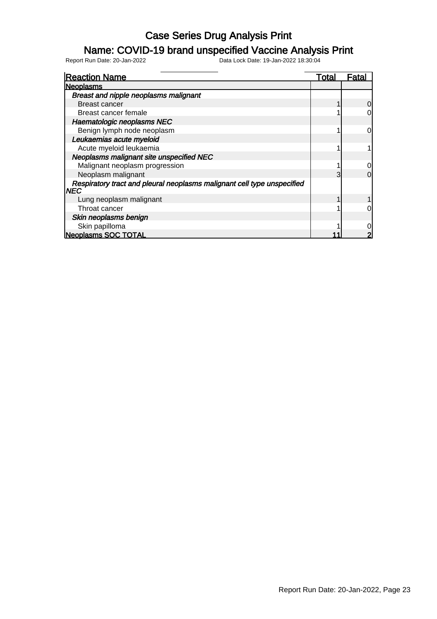#### Name: COVID-19 brand unspecified Vaccine Analysis Print

| <b>Reaction Name</b>                                                            | Total | Fata |
|---------------------------------------------------------------------------------|-------|------|
| <b>Neoplasms</b>                                                                |       |      |
| <b>Breast and nipple neoplasms malignant</b>                                    |       |      |
| Breast cancer                                                                   |       |      |
| Breast cancer female                                                            |       |      |
| Haematologic neoplasms NEC                                                      |       |      |
| Benign lymph node neoplasm                                                      |       | ი    |
| Leukaemias acute myeloid                                                        |       |      |
| Acute myeloid leukaemia                                                         |       |      |
| Neoplasms malignant site unspecified NEC                                        |       |      |
| Malignant neoplasm progression                                                  |       |      |
| Neoplasm malignant                                                              | 3     |      |
| Respiratory tract and pleural neoplasms malignant cell type unspecified<br>INEC |       |      |
| Lung neoplasm malignant                                                         |       |      |
| Throat cancer                                                                   |       |      |
| Skin neoplasms benign                                                           |       |      |
| Skin papilloma                                                                  |       |      |
| <b>Neoplasms SOC TOTAL</b>                                                      |       |      |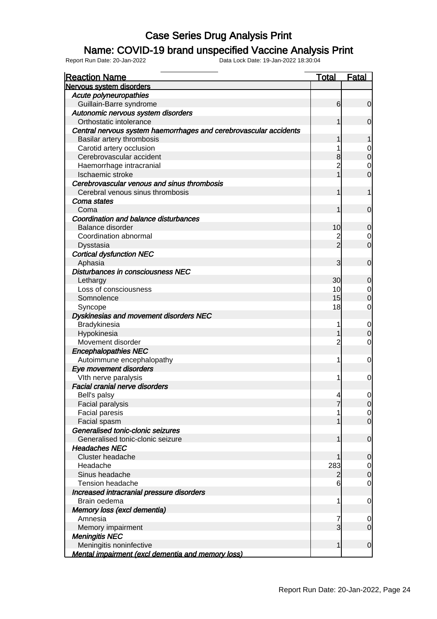### Name: COVID-19 brand unspecified Vaccine Analysis Print

| <b>Reaction Name</b>                                              | <b>Total</b>    | <b>Fatal</b>                     |
|-------------------------------------------------------------------|-----------------|----------------------------------|
| Nervous system disorders                                          |                 |                                  |
| Acute polyneuropathies                                            |                 |                                  |
| Guillain-Barre syndrome                                           | 6               | $\overline{0}$                   |
| Autonomic nervous system disorders                                |                 |                                  |
| Orthostatic intolerance                                           |                 | $\overline{0}$                   |
| Central nervous system haemorrhages and cerebrovascular accidents |                 |                                  |
| Basilar artery thrombosis                                         |                 | 1                                |
| Carotid artery occlusion                                          |                 | 0                                |
| Cerebrovascular accident                                          | 8               | $\mathbf 0$                      |
| Haemorrhage intracranial                                          | 2               | $\mathbf 0$                      |
| Ischaemic stroke                                                  |                 | $\overline{0}$                   |
| Cerebrovascular venous and sinus thrombosis                       |                 |                                  |
| Cerebral venous sinus thrombosis                                  |                 | 1                                |
| Coma states                                                       |                 |                                  |
| Coma                                                              |                 | $\overline{0}$                   |
| Coordination and balance disturbances                             |                 |                                  |
| Balance disorder                                                  | 10              | $\mathbf 0$                      |
| Coordination abnormal                                             |                 | 0                                |
| Dysstasia                                                         | $\overline{2}$  | $\overline{0}$                   |
| <b>Cortical dysfunction NEC</b>                                   |                 |                                  |
| Aphasia                                                           | 3               | $\overline{0}$                   |
| Disturbances in consciousness NEC                                 |                 |                                  |
| Lethargy                                                          | 30 <sub>l</sub> | $\mathbf 0$                      |
| Loss of consciousness                                             | 10 <sup>1</sup> | $\overline{0}$                   |
| Somnolence                                                        | 15              | $\mathbf 0$                      |
| Syncope                                                           | 18              | 0                                |
| Dyskinesias and movement disorders NEC                            |                 |                                  |
| Bradykinesia                                                      |                 | $\mathbf 0$                      |
| Hypokinesia                                                       |                 | $\mathbf 0$                      |
| Movement disorder                                                 | 2               | 0                                |
| <b>Encephalopathies NEC</b>                                       |                 |                                  |
| Autoimmune encephalopathy                                         | 1               | 0                                |
| Eye movement disorders                                            |                 |                                  |
|                                                                   |                 | 0                                |
| VIth nerve paralysis<br><b>Facial cranial nerve disorders</b>     |                 |                                  |
|                                                                   | 4               | $\overline{0}$                   |
| Bell's palsy                                                      | 7               |                                  |
| Facial paralysis                                                  |                 | 0                                |
| Facial paresis<br>Facial spasm                                    |                 | $\overline{0}$<br>$\overline{0}$ |
| Generalised tonic-clonic seizures                                 |                 |                                  |
| Generalised tonic-clonic seizure                                  |                 | $\mathbf 0$                      |
| <b>Headaches NEC</b>                                              |                 |                                  |
|                                                                   |                 |                                  |
| <b>Cluster headache</b>                                           |                 | $\boldsymbol{0}$                 |
| Headache                                                          | 283             | $\overline{0}$                   |
| Sinus headache                                                    | 2               | $\mathbf 0$                      |
| <b>Tension headache</b>                                           | 6               | $\mathbf 0$                      |
| Increased intracranial pressure disorders                         |                 |                                  |
| Brain oedema                                                      | 1               | $\mathbf 0$                      |
| Memory loss (excl dementia)                                       |                 |                                  |
| Amnesia                                                           | 7               | $\mathbf 0$                      |
| Memory impairment                                                 | 3               | $\overline{0}$                   |
| <b>Meningitis NEC</b>                                             |                 |                                  |
| Meningitis noninfective                                           |                 | $\mathbf 0$                      |
| <b>Mental impairment (excl dementia and memory loss)</b>          |                 |                                  |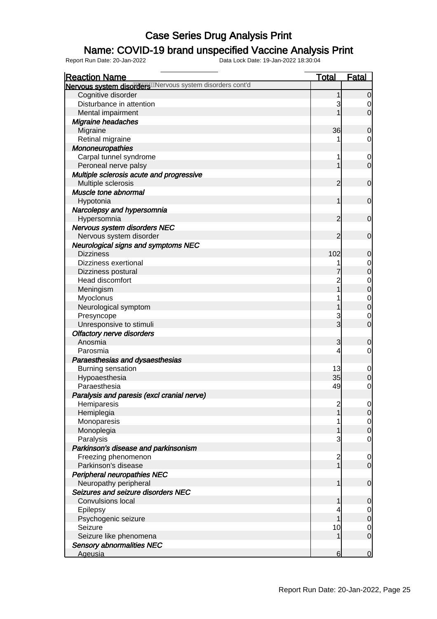### Name: COVID-19 brand unspecified Vaccine Analysis Print

| <b>Reaction Name</b>                                       | <b>Total</b>                          | <u>Fatal</u>     |
|------------------------------------------------------------|---------------------------------------|------------------|
| Nervous system disorder Willervous system disorders cont'd |                                       |                  |
| Cognitive disorder                                         | 1                                     | 0                |
| Disturbance in attention                                   | 3                                     | 0                |
| Mental impairment                                          |                                       | $\mathbf 0$      |
| Migraine headaches                                         |                                       |                  |
| Migraine                                                   | 36                                    | $\mathbf 0$      |
| Retinal migraine                                           |                                       | $\mathbf 0$      |
| Mononeuropathies                                           |                                       |                  |
| Carpal tunnel syndrome                                     | 1                                     | $\mathbf 0$      |
| Peroneal nerve palsy                                       | 1                                     | $\overline{0}$   |
| Multiple sclerosis acute and progressive                   |                                       |                  |
| Multiple sclerosis                                         | $\overline{2}$                        | $\mathbf 0$      |
| Muscle tone abnormal                                       |                                       |                  |
| Hypotonia                                                  | 1                                     | $\mathbf 0$      |
| Narcolepsy and hypersomnia                                 |                                       |                  |
| Hypersomnia                                                | $\overline{2}$                        | $\mathbf 0$      |
| Nervous system disorders NEC                               |                                       |                  |
| Nervous system disorder                                    | $\overline{2}$                        | $\mathbf 0$      |
| <b>Neurological signs and symptoms NEC</b>                 |                                       |                  |
| <b>Dizziness</b>                                           | 102                                   | $\mathbf 0$      |
| Dizziness exertional                                       |                                       | $\mathbf 0$      |
|                                                            | 7                                     | $\overline{0}$   |
| Dizziness postural<br>Head discomfort                      |                                       |                  |
|                                                            | 2<br>1                                | $\mathbf{0}$     |
| Meningism                                                  |                                       | $\overline{0}$   |
| Myoclonus                                                  |                                       | $\mathbf{0}$     |
| Neurological symptom                                       |                                       | $\overline{0}$   |
| Presyncope                                                 | 3<br>3                                | $\mathbf 0$      |
| Unresponsive to stimuli                                    |                                       | $\overline{0}$   |
| <b>Olfactory nerve disorders</b>                           |                                       |                  |
| Anosmia                                                    | 3                                     | $\mathbf 0$      |
| Parosmia                                                   | 4                                     | $\mathbf 0$      |
| Paraesthesias and dysaesthesias                            |                                       |                  |
| Burning sensation                                          | 13                                    | $\mathbf 0$      |
| Hypoaesthesia                                              | 35                                    | $\overline{0}$   |
| Paraesthesia                                               | 49                                    | $\mathbf 0$      |
| Paralysis and paresis (excl cranial nerve)                 |                                       |                  |
| Hemiparesis                                                | $\begin{array}{c} 2 \\ 1 \end{array}$ | $\Omega$         |
| Hemiplegia                                                 |                                       | 0                |
| Monoparesis                                                |                                       | $\overline{0}$   |
| Monoplegia                                                 | 1                                     | $\overline{0}$   |
| Paralysis                                                  | 3                                     | $\mathbf 0$      |
| Parkinson's disease and parkinsonism                       |                                       |                  |
| Freezing phenomenon                                        | $\begin{array}{c} 2 \\ 1 \end{array}$ | $\mathbf 0$      |
| Parkinson's disease                                        |                                       | $\mathbf 0$      |
| Peripheral neuropathies NEC                                |                                       |                  |
| Neuropathy peripheral                                      | 1                                     | $\boldsymbol{0}$ |
| Seizures and seizure disorders NEC                         |                                       |                  |
| <b>Convulsions local</b>                                   | 1                                     | $\mathbf 0$      |
| Epilepsy                                                   |                                       | $\overline{0}$   |
| Psychogenic seizure                                        |                                       | $\pmb{0}$        |
| Seizure                                                    | 10                                    | $\mathbf{0}$     |
| Seizure like phenomena                                     | 1                                     | $\mathbf 0$      |
| <b>Sensory abnormalities NEC</b>                           |                                       |                  |
| Ageusia                                                    | 6                                     | $\overline{0}$   |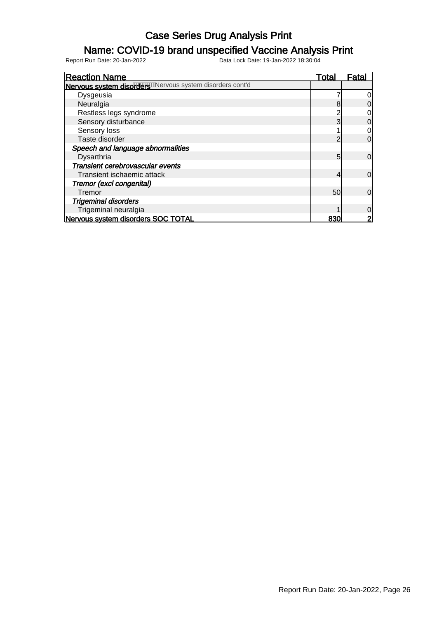### Name: COVID-19 brand unspecified Vaccine Analysis Print

| <b>Reaction Name</b>                                     | <u>Total</u> | Fatal          |
|----------------------------------------------------------|--------------|----------------|
| Nervous system disorders Mervous system disorders cont'd |              |                |
| Dysgeusia                                                |              |                |
| Neuralgia                                                | 8            |                |
| Restless legs syndrome                                   |              |                |
| Sensory disturbance                                      | 3            | 0              |
| Sensory loss                                             |              | 0              |
| Taste disorder                                           | っ            | $\Omega$       |
| Speech and language abnormalities                        |              |                |
| Dysarthria                                               | 5            | 0              |
| Transient cerebrovascular events                         |              |                |
| Transient ischaemic attack                               | 4            | 0              |
| Tremor (excl congenital)                                 |              |                |
| Tremor                                                   | 50           | $\overline{0}$ |
| <b>Trigeminal disorders</b>                              |              |                |
| Trigeminal neuralgia                                     |              |                |
| Nervous system disorders SOC TOTAL                       | 830          |                |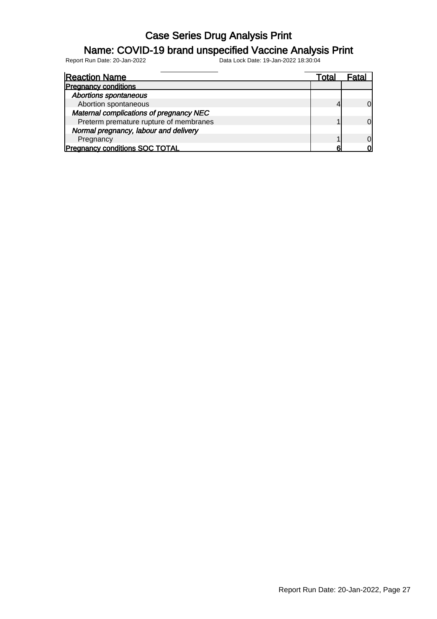### Name: COVID-19 brand unspecified Vaccine Analysis Print

| <b>Reaction Name</b>                    | Total |    |
|-----------------------------------------|-------|----|
| <b>Pregnancy conditions</b>             |       |    |
| <b>Abortions spontaneous</b>            |       |    |
| Abortion spontaneous                    |       | Ol |
| Maternal complications of pregnancy NEC |       |    |
| Preterm premature rupture of membranes  |       | N  |
| Normal pregnancy, labour and delivery   |       |    |
| Pregnancy                               |       | ΩI |
| <b>Pregnancy conditions SOC TOTAL</b>   |       |    |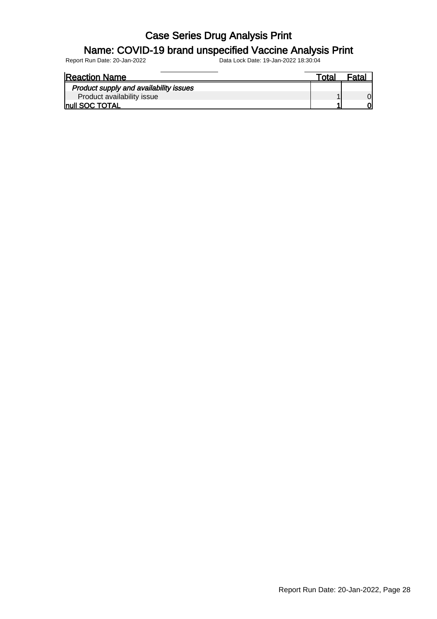#### Name: COVID-19 brand unspecified Vaccine Analysis Print

| <b>Reaction Name</b>                   | ™ota⊦ | <sup>≂</sup> ata. |
|----------------------------------------|-------|-------------------|
| Product supply and availability issues |       |                   |
| Product availability issue             |       |                   |
| <b>Inull SOC TOTAL</b>                 |       |                   |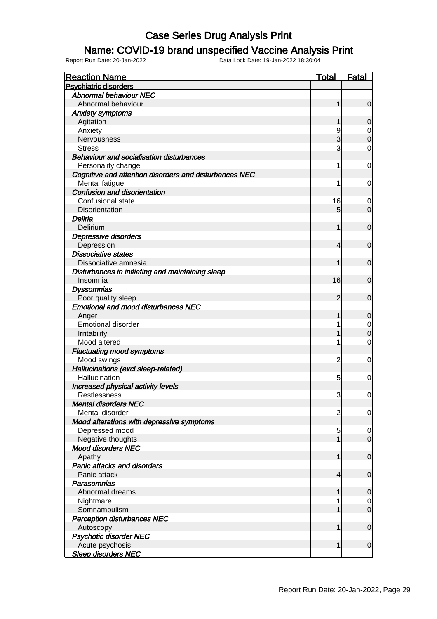### Name: COVID-19 brand unspecified Vaccine Analysis Print

| <b>Reaction Name</b>                                   | <b>Total</b>   | <b>Fatal</b>     |
|--------------------------------------------------------|----------------|------------------|
| <b>Psychiatric disorders</b>                           |                |                  |
| <b>Abnormal behaviour NEC</b>                          |                |                  |
| Abnormal behaviour                                     | 1              | $\mathbf 0$      |
| <b>Anxiety symptoms</b>                                |                |                  |
| Agitation                                              | 1              | $\mathbf 0$      |
| Anxiety                                                | 9              | 0                |
| Nervousness                                            | 3              | $\mathbf 0$      |
| <b>Stress</b>                                          | 3              | 0                |
| <b>Behaviour and socialisation disturbances</b>        |                |                  |
| Personality change                                     | 1              | $\mathbf 0$      |
| Cognitive and attention disorders and disturbances NEC |                |                  |
| Mental fatigue                                         | 1              | 0                |
| Confusion and disorientation                           |                |                  |
| Confusional state                                      | 16             | 0                |
| Disorientation                                         | 5 <sup>5</sup> | $\overline{0}$   |
| Deliria                                                |                |                  |
| Delirium                                               | 1              | $\mathbf 0$      |
| Depressive disorders                                   |                |                  |
| Depression                                             | $\overline{4}$ | $\mathbf 0$      |
| <b>Dissociative states</b>                             |                |                  |
| Dissociative amnesia                                   | 1              | $\mathbf 0$      |
| Disturbances in initiating and maintaining sleep       |                |                  |
| Insomnia                                               | 16             | $\mathbf 0$      |
| <b>Dyssomnias</b>                                      |                |                  |
| Poor quality sleep                                     | $\overline{2}$ | $\mathbf 0$      |
| <b>Emotional and mood disturbances NEC</b>             |                |                  |
| Anger                                                  | 1              | $\mathbf 0$      |
| <b>Emotional disorder</b>                              | 1              | $\mathbf 0$      |
| Irritability                                           | 1              | $\mathbf 0$      |
| Mood altered                                           | 1              | 0                |
| <b>Fluctuating mood symptoms</b>                       |                |                  |
| Mood swings                                            | $\overline{2}$ | $\mathbf 0$      |
| Hallucinations (excl sleep-related)                    |                |                  |
| Hallucination                                          | 5 <sup>1</sup> | 0                |
| Increased physical activity levels                     |                |                  |
| Restlessness                                           | 3              | $\mathbf 0$      |
| <b>Mental disorders NEC</b>                            |                |                  |
| Mental disorder                                        | $\overline{c}$ | $\overline{0}$   |
| Mood alterations with depressive symptoms              |                |                  |
| Depressed mood                                         | 5              | $\mathbf 0$      |
| Negative thoughts                                      | $\mathbf 1$    | $\overline{0}$   |
| <b>Mood disorders NEC</b>                              |                |                  |
| Apathy                                                 | 1              | $\boldsymbol{0}$ |
| <b>Panic attacks and disorders</b>                     |                |                  |
| Panic attack                                           | $\overline{4}$ | $\mathbf 0$      |
| Parasomnias                                            |                |                  |
| Abnormal dreams                                        | 1              | $\mathbf 0$      |
| Nightmare                                              |                | $\overline{0}$   |
| Somnambulism                                           | 1              | $\mathbf 0$      |
| <b>Perception disturbances NEC</b>                     |                |                  |
| Autoscopy                                              | 1              | $\boldsymbol{0}$ |
| <b>Psychotic disorder NEC</b>                          |                |                  |
| Acute psychosis                                        | $\mathbf{1}$   | $\boldsymbol{0}$ |
| <b>Sleep disorders NEC</b>                             |                |                  |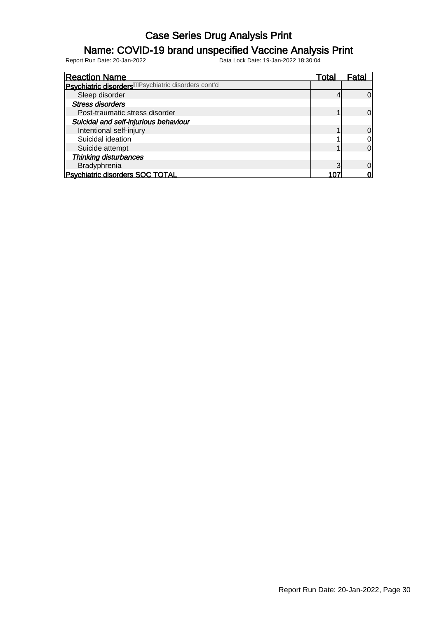# **Name: COVID-19 brand unspecified Vaccine Analysis Print**<br>Report Run Date: 20-Jan-2022<br>18:30:04<br>Data Lock Date: 19-Jan-2022 18:30:04

Data Lock Date: 19-Jan-2022 18:30:04

Reaction Name Total Fatal Psychiatric disorders<sup>/WR</sup>sychiatric disorders cont'd Sleep disorder 4 0 Stress disorders Post-traumatic stress disorder 1 0 Suicidal and self-injurious behaviour Intentional self-injury 1 0 Suicidal ideation and the subset of the set of the set of the set of the set of the set of the set of the set of the set of the set of the set of the set of the set of the set of the set of the set of the set of the set of Suicide attempt 1 0 Thinking disturbances Bradyphrenia and a 107 and 2012 10 and 2012 10 and 2012 10 and 2012 10 and 2012 10 and 2012 10 and 20<br>
Bradyphrenia 3 0 3 and 2012 107 and 2012 107 and 2012 107 and 2012 107 and 2012 107 and 2012 107 and 2013 107 Psychiatric disorders SOC TOTAL 107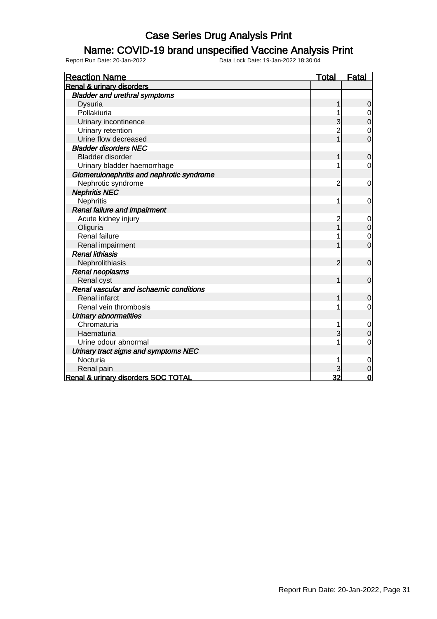#### Name: COVID-19 brand unspecified Vaccine Analysis Print

| <b>Reaction Name</b>                      | <u>Total</u>   | Fatal          |
|-------------------------------------------|----------------|----------------|
| <b>Renal &amp; urinary disorders</b>      |                |                |
| <b>Bladder and urethral symptoms</b>      |                |                |
| Dysuria                                   |                | 0              |
| Pollakiuria                               |                |                |
| Urinary incontinence                      | 3              | 0              |
| Urinary retention                         | $\overline{c}$ | 0              |
| Urine flow decreased                      |                | 0              |
| <b>Bladder disorders NEC</b>              |                |                |
| Bladder disorder                          | 1              | $\mathbf 0$    |
| Urinary bladder haemorrhage               |                | 0              |
| Glomerulonephritis and nephrotic syndrome |                |                |
| Nephrotic syndrome                        | 2              | 0              |
| <b>Nephritis NEC</b>                      |                |                |
| Nephritis                                 |                | 0              |
| <b>Renal failure and impairment</b>       |                |                |
| Acute kidney injury                       | 2              | 0              |
| Oliguria                                  |                | 0              |
| <b>Renal failure</b>                      |                | 0              |
| Renal impairment                          |                | $\overline{0}$ |
| <b>Renal lithiasis</b>                    |                |                |
| Nephrolithiasis                           | 2              | $\overline{0}$ |
| Renal neoplasms                           |                |                |
| Renal cyst                                |                | $\mathbf 0$    |
| Renal vascular and ischaemic conditions   |                |                |
| <b>Renal infarct</b>                      |                | O              |
| Renal vein thrombosis                     |                | 0              |
| <b>Urinary abnormalities</b>              |                |                |
| Chromaturia                               |                | 0              |
| Haematuria                                |                | $\overline{0}$ |
| Urine odour abnormal                      |                | 0              |
| Urinary tract signs and symptoms NEC      |                |                |
| Nocturia                                  |                | 0              |
| Renal pain                                |                | 0              |
| Renal & urinary disorders SOC TOTAL       | 32             | 0              |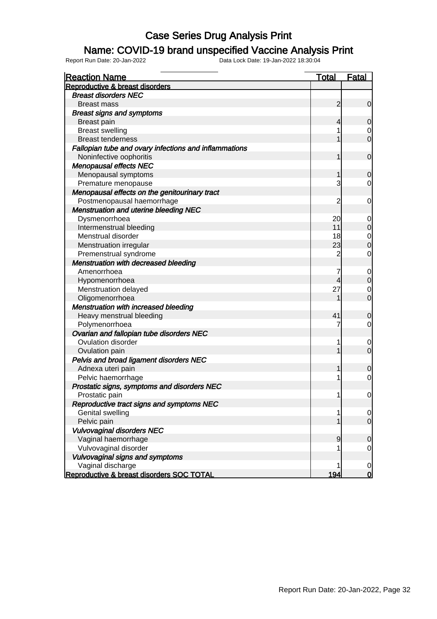#### Name: COVID-19 brand unspecified Vaccine Analysis Print

| <b>Reaction Name</b>                                  | <b>Total</b>   | <b>Fatal</b>   |
|-------------------------------------------------------|----------------|----------------|
| Reproductive & breast disorders                       |                |                |
| <b>Breast disorders NEC</b>                           |                |                |
| <b>Breast mass</b>                                    | $\overline{2}$ | $\mathbf 0$    |
| <b>Breast signs and symptoms</b>                      |                |                |
| <b>Breast pain</b>                                    | $\overline{4}$ | $\mathbf 0$    |
| <b>Breast swelling</b>                                |                | 0              |
| <b>Breast tenderness</b>                              |                | $\overline{0}$ |
| Fallopian tube and ovary infections and inflammations |                |                |
| Noninfective oophoritis                               | 1              | $\mathbf 0$    |
| <b>Menopausal effects NEC</b>                         |                |                |
| Menopausal symptoms                                   | 1              | $\mathbf 0$    |
| Premature menopause                                   | 3              | 0              |
| Menopausal effects on the genitourinary tract         |                |                |
| Postmenopausal haemorrhage                            | 2              | $\mathbf 0$    |
| <b>Menstruation and uterine bleeding NEC</b>          |                |                |
| Dysmenorrhoea                                         | 20             | 0              |
| Intermenstrual bleeding                               | 11             | $\mathbf 0$    |
| Menstrual disorder                                    | 18             | $\mathbf 0$    |
| Menstruation irregular                                | 23             | $\overline{0}$ |
| Premenstrual syndrome                                 | $\overline{2}$ | 0              |
| <b>Menstruation with decreased bleeding</b>           |                |                |
| Amenorrhoea                                           | 7              | $\mathbf 0$    |
| Hypomenorrhoea                                        | 4              | $\mathbf 0$    |
| Menstruation delayed                                  | 27             | $\mathbf 0$    |
| Oligomenorrhoea                                       | 1              | $\overline{0}$ |
| Menstruation with increased bleeding                  |                |                |
| Heavy menstrual bleeding                              | 41             | $\mathbf 0$    |
| Polymenorrhoea                                        | 7              | 0              |
| Ovarian and fallopian tube disorders NEC              |                |                |
| Ovulation disorder                                    | 1              | 0              |
| Ovulation pain                                        | 1              | $\overline{0}$ |
| Pelvis and broad ligament disorders NEC               |                |                |
| Adnexa uteri pain                                     | 1              |                |
|                                                       | 1              | $\mathbf 0$    |
| Pelvic haemorrhage                                    |                | $\mathbf 0$    |
| Prostatic signs, symptoms and disorders NEC           |                |                |
| Prostatic pain                                        | 1              | $\mathbf 0$    |
| Reproductive tract signs and symptoms NEC             |                |                |
| <b>Genital swelling</b>                               | 1              | 0              |
| Pelvic pain                                           | 1              | $\mathbf 0$    |
| <b>Vulvovaginal disorders NEC</b>                     |                |                |
| Vaginal haemorrhage                                   | $\overline{9}$ | $\mathbf 0$    |
| Vulvovaginal disorder                                 |                | 0              |
| Vulvovaginal signs and symptoms                       |                |                |
| Vaginal discharge                                     | 1              | $\mathbf 0$    |
| Reproductive & breast disorders SOC TOTAL             | 194            | $\mathbf 0$    |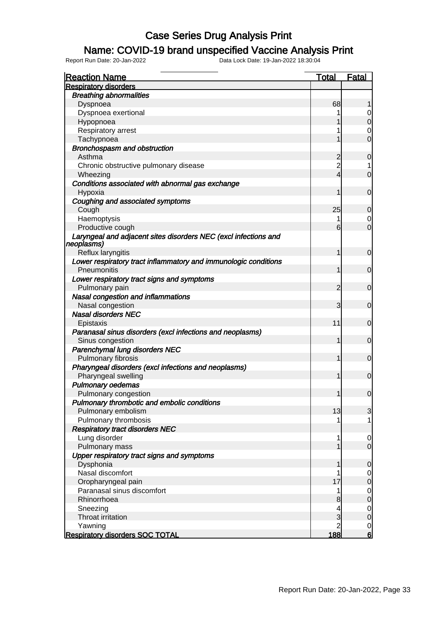### Name: COVID-19 brand unspecified Vaccine Analysis Print

| <b>Reaction Name</b>                                                          | <b>Total</b>   | <b>Fatal</b>   |
|-------------------------------------------------------------------------------|----------------|----------------|
| <b>Respiratory disorders</b>                                                  |                |                |
| <b>Breathing abnormalities</b>                                                |                |                |
| Dyspnoea                                                                      | 68             |                |
| Dyspnoea exertional                                                           |                |                |
| Hypopnoea                                                                     |                | $\mathbf 0$    |
| Respiratory arrest                                                            |                | 0              |
| Tachypnoea                                                                    | 1              | $\mathbf 0$    |
| Bronchospasm and obstruction                                                  |                |                |
| Asthma                                                                        | $\overline{c}$ | $\mathbf 0$    |
| Chronic obstructive pulmonary disease                                         | $\overline{c}$ |                |
| Wheezing                                                                      | $\overline{4}$ | $\mathbf 0$    |
| Conditions associated with abnormal gas exchange<br>Hypoxia                   | 1              | $\mathbf 0$    |
| Coughing and associated symptoms                                              |                |                |
| Cough                                                                         | 25             | $\mathbf 0$    |
| Haemoptysis                                                                   | 1              | 0              |
| Productive cough                                                              | 6              | $\overline{0}$ |
| Laryngeal and adjacent sites disorders NEC (excl infections and<br>neoplasms) |                |                |
| Reflux laryngitis                                                             | 1              | $\mathbf 0$    |
| Lower respiratory tract inflammatory and immunologic conditions               |                |                |
| Pneumonitis                                                                   | 1              | $\mathbf 0$    |
| Lower respiratory tract signs and symptoms                                    |                |                |
| Pulmonary pain                                                                | 2              | $\mathbf 0$    |
| Nasal congestion and inflammations                                            |                |                |
| Nasal congestion                                                              | 3              | $\mathbf 0$    |
| <b>Nasal disorders NEC</b>                                                    |                |                |
| Epistaxis                                                                     | 11             | $\mathbf 0$    |
| Paranasal sinus disorders (excl infections and neoplasms)                     |                |                |
| Sinus congestion                                                              | 1              | $\mathbf 0$    |
| Parenchymal lung disorders NEC                                                |                |                |
| Pulmonary fibrosis                                                            | $\mathbf{1}$   | $\mathbf 0$    |
| Pharyngeal disorders (excl infections and neoplasms)                          |                |                |
| Pharyngeal swelling                                                           | 1              | $\mathbf 0$    |
| <b>Pulmonary oedemas</b>                                                      |                |                |
| Pulmonary congestion                                                          | $\mathbf{1}$   | $\mathbf 0$    |
| Pulmonary thrombotic and embolic conditions                                   |                |                |
| Pulmonary embolism                                                            | 13             | 3              |
| Pulmonary thrombosis                                                          | 1              | 1              |
| <b>Respiratory tract disorders NEC</b>                                        |                |                |
| Lung disorder                                                                 | 1              | $\mathbf 0$    |
| Pulmonary mass                                                                | $\mathbf 1$    | $\overline{O}$ |
| Upper respiratory tract signs and symptoms                                    |                |                |
| Dysphonia                                                                     | 1              | 0              |
| Nasal discomfort                                                              | 1              | $\mathbf 0$    |
| Oropharyngeal pain                                                            | 17             | $\overline{0}$ |
| Paranasal sinus discomfort                                                    | 1              | $\mathbf 0$    |
| Rhinorrhoea                                                                   | 8              | $\overline{0}$ |
| Sneezing                                                                      | 4              | $\mathbf 0$    |
| <b>Throat irritation</b>                                                      | 3              | $\overline{0}$ |
| Yawning                                                                       | $\overline{2}$ | $\overline{0}$ |
| <b>Respiratory disorders SOC TOTAL</b>                                        | 188            | 6              |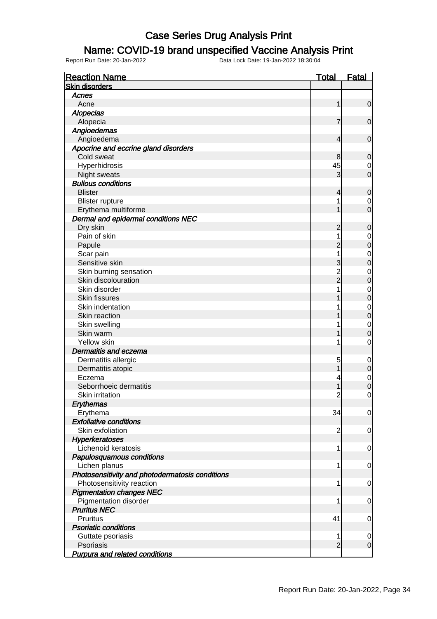#### Name: COVID-19 brand unspecified Vaccine Analysis Print

Report Run Date: 20-Jan-2022 Data Lock Date: 19-Jan-2022 18:30:04

Reaction Name Total Fatal Skin disorders Acnes Acne to the contract of  $\vert$  1  $\vert$  0  $\vert$ **Alopecias**  Alopecia 7 0 Angioedemas Angioedema 4 0 Apocrine and eccrine gland disorders Cold sweat 8 0 Hyperhidrosis 0 Night sweats 3 0 Bullous conditions Blister 4 0 Blister rupture 1 0 Erythema multiforme 1 0 Dermal and epidermal conditions NEC Dry skin 2 0 Pain of skin and the set of skin and the set of skin and the set of set of set of set of set of set of set of set of  $\begin{bmatrix} 1 & 0 \\ 2 & 0 \end{bmatrix}$  Papule 2 0 Scar pain 1 0 Sensitive skin 3 0 Skin burning sensation and the sensetion of the sensetion of the sensetion of the sensetion of the sensetion of the sensetion of the sensetion of the sensetion of the sensetion of the sensetion of the sensetion of the sens Skin discolouration 2 0<br>Skin disorder 2 0<br>O 0 Skin disorder 1 0<br>Skin fissures 1 0<br>0 Skin fissures 1 0<br>Skin indentation 1 0<br>Nin indentation 1 0 Skin indentation and the set of the set of the set of the set of the set of the set of the set of the set of the set of the set of the set of the set of the set of the set of the set of the set of the set of the set of the Skin reaction and the set of the set of the set of the set of the set of the set of the set of the set of the set of the set of the set of the set of the set of the set of the set of the set of the set of the set of the se Skin swelling 1 0<br>Skin warm 1 0<br>1 0 Skin warm 1 0 Yellow skin and the set of the set of the set of the set of the set of the set of the set of the set of the set of the set of the set of the set of the set of the set of the set of the set of the set of the set of the set Dermatitis and eczema Dermatitis allergic and the set of the set of the set of the set of the set of the set of the set of the set of the set of the set of the set of the set of the set of the set of the set of the set of the set of the set of Dermatitis atopic and the contract of the contract of the contract of the contract of the contract of the contract of the contract of the contract of the contract of the contract of the contract of the contract of the cont Eczema 4 0 Seborrhoeic dermatitis and the set of the set of the set of the set of the set of the set of the set of the set of the set of the set of the set of the set of the set of the set of the set of the set of the set of the set Skin irritation 2 0 **Erythemas**  Erythema 34 0 Exfoliative conditions Skin exfoliation and the set of the set of the set of the set of the set of the set of the set of the set of the set of the set of the set of the set of the set of the set of the set of the set of the set of the set of the **Hyperkeratoses** Lichenoid keratosis and the set of the set of the set of the set of the set of the set of the set of the set o Papulosquamous conditions Lichen planus 1 0 Photosensitivity and photodermatosis conditions Photosensitivity reaction and the state of the state of the state of the state of the state of the state of the state of the state of the state of the state of the state of the state of the state of the state of the state Pigmentation changes NEC Pigmentation disorder and the set of the set of the set of the set of the set of the set of the set of the set of the set of the set of the set of the set of the set of the set of the set of the set of the set of the set o Pruritus NEC Pruritus 41 0 Psoriatic conditions Guttate psoriasis and the contract of the contract of the contract of the contract of the contract of the contract of the contract of the contract of the contract of the contract of the contract of the contract of the cont Psoriasis 2 0 Purpura and related conditions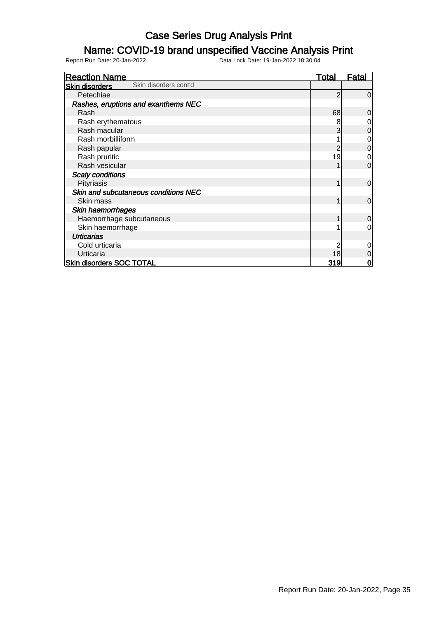### Name: COVID-19 brand unspecified Vaccine Analysis Print

| <b>Reaction Name</b>                           | <b>Total</b> | Fatal       |
|------------------------------------------------|--------------|-------------|
| Skin disorders cont'd<br><b>Skin disorders</b> |              |             |
| Petechiae                                      | 2            | $\Omega$    |
| Rashes, eruptions and exanthems NEC            |              |             |
| Rash                                           | 68           | 0           |
| Rash erythematous                              | 8            |             |
| Rash macular                                   | 3            | 0           |
| Rash morbilliform                              |              | 0           |
| Rash papular                                   |              | 0           |
| Rash pruritic                                  | 19           | 0           |
| Rash vesicular                                 |              | 0           |
| <b>Scaly conditions</b>                        |              |             |
| Pityriasis                                     |              | $\mathbf 0$ |
| Skin and subcutaneous conditions NEC           |              |             |
| Skin mass                                      |              | $\mathbf 0$ |
| Skin haemorrhages                              |              |             |
| Haemorrhage subcutaneous                       |              | 0           |
| Skin haemorrhage                               |              | 0           |
| <b>Urticarias</b>                              |              |             |
| Cold urticaria                                 |              | ი           |
| Urticaria                                      | 18           | 0           |
| <b>Skin disorders SOC TOTAL</b>                | 319          |             |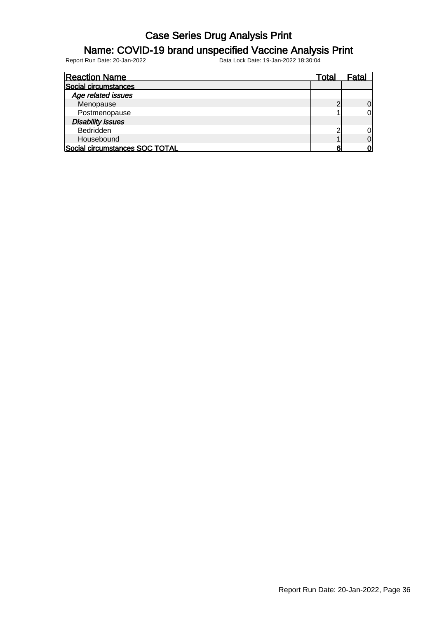### Name: COVID-19 brand unspecified Vaccine Analysis Print

| <b>Reaction Name</b>           | Total | Fatal |
|--------------------------------|-------|-------|
| Social circumstances           |       |       |
| Age related issues             |       |       |
| Menopause                      |       | 0     |
| Postmenopause                  |       |       |
| <b>Disability issues</b>       |       |       |
| Bedridden                      | ົ     |       |
| Housebound                     |       |       |
| Social circumstances SOC TOTAL |       |       |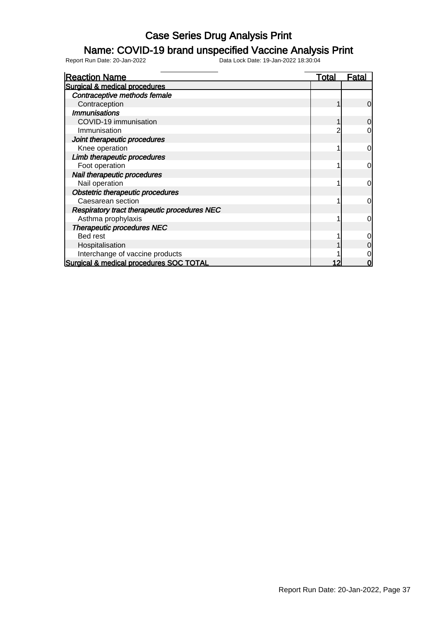#### Name: COVID-19 brand unspecified Vaccine Analysis Print

| <b>Reaction Name</b>                         | <u>Total</u> | Fatal |
|----------------------------------------------|--------------|-------|
| Surgical & medical procedures                |              |       |
| Contraceptive methods female                 |              |       |
| Contraception                                |              | 0     |
| <b>Immunisations</b>                         |              |       |
| COVID-19 immunisation                        |              | 0     |
| Immunisation                                 |              |       |
| Joint therapeutic procedures                 |              |       |
| Knee operation                               |              | 0     |
| Limb therapeutic procedures                  |              |       |
| Foot operation                               |              | 0     |
| Nail therapeutic procedures                  |              |       |
| Nail operation                               |              | 0     |
| <b>Obstetric therapeutic procedures</b>      |              |       |
| Caesarean section                            |              | 0     |
| Respiratory tract therapeutic procedures NEC |              |       |
| Asthma prophylaxis                           |              | 0     |
| <b>Therapeutic procedures NEC</b>            |              |       |
| Bed rest                                     |              |       |
| Hospitalisation                              |              |       |
| Interchange of vaccine products              |              |       |
| Surgical & medical procedures SOC TOTAL      |              |       |